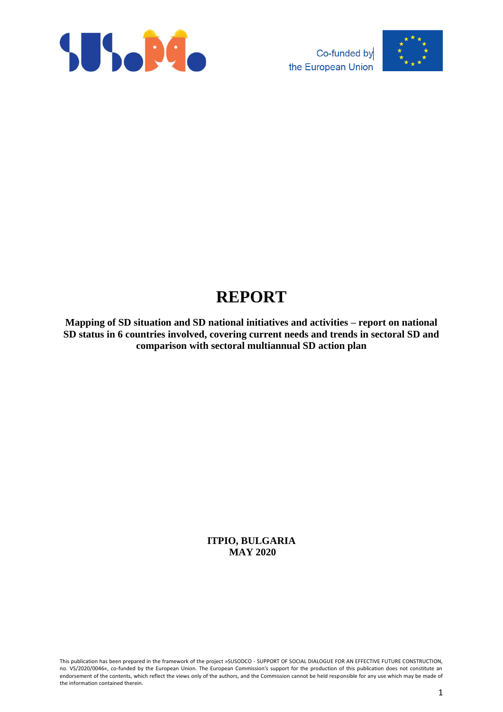



# **REPORT**

**Mapping of SD situation and SD national initiatives and activities – report on national SD status in 6 countries involved, covering current needs and trends in sectoral SD and comparison with sectoral multiannual SD action plan**

> **ITPIO, BULGARIA MAY 2020**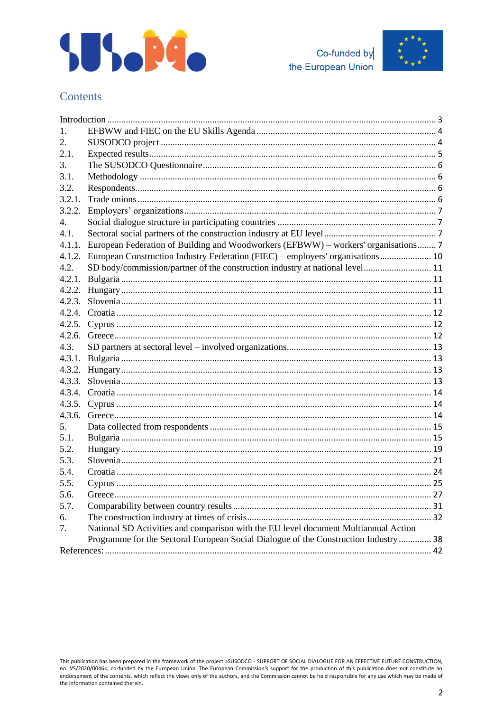





# Contents

| $\mathbf{1}$ . |                                                                                     |  |
|----------------|-------------------------------------------------------------------------------------|--|
| 2.             |                                                                                     |  |
| 2.1.           |                                                                                     |  |
| 3.             |                                                                                     |  |
| 3.1.           |                                                                                     |  |
| 3.2.           |                                                                                     |  |
| 3.2.1.         |                                                                                     |  |
| 3.2.2.         |                                                                                     |  |
| $4_{\cdot}$    |                                                                                     |  |
| 4.1.           |                                                                                     |  |
| 4.1.1.         | European Federation of Building and Woodworkers (EFBWW) – workers' organisations 7  |  |
| 4.1.2.         | European Construction Industry Federation (FIEC) – employers' organisations 10      |  |
| 4.2.           | SD body/commission/partner of the construction industry at national level 11        |  |
|                |                                                                                     |  |
|                |                                                                                     |  |
|                |                                                                                     |  |
|                |                                                                                     |  |
|                |                                                                                     |  |
| 4.2.6.         |                                                                                     |  |
| 4.3.           |                                                                                     |  |
| 4.3.1.         |                                                                                     |  |
|                |                                                                                     |  |
|                |                                                                                     |  |
|                |                                                                                     |  |
|                |                                                                                     |  |
| 4.3.6.         |                                                                                     |  |
| 5.             |                                                                                     |  |
| 5.1.           |                                                                                     |  |
| 5.2.           |                                                                                     |  |
| 5.3.           |                                                                                     |  |
| 5.4.           |                                                                                     |  |
| 5.5.           |                                                                                     |  |
| 5.6.           |                                                                                     |  |
| 5.7.           |                                                                                     |  |
| б.             |                                                                                     |  |
| 7.             | National SD Activities and comparison with the EU level document Multiannual Action |  |
|                | Programme for the Sectoral European Social Dialogue of the Construction Industry 38 |  |
|                |                                                                                     |  |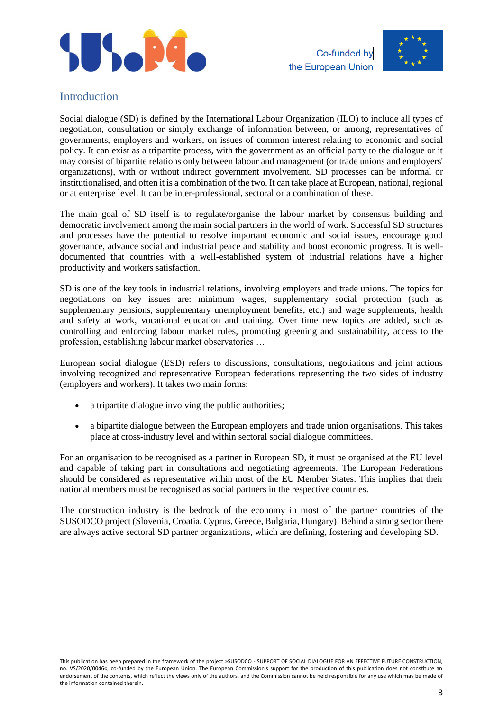



### <span id="page-2-0"></span>Introduction

Social dialogue (SD) is defined by the International Labour Organization (ILO) to include all types of negotiation, consultation or simply exchange of information between, or among, representatives of governments, employers and workers, on issues of common interest relating to economic and social policy. It can exist as a tripartite process, with the government as an official party to the dialogue or it may consist of bipartite relations only between labour and management (or trade unions and employers' organizations), with or without indirect government involvement. SD processes can be informal or institutionalised, and often it is a combination of the two. It can take place at European, national, regional or at enterprise level. It can be inter-professional, sectoral or a combination of these.

The main goal of SD itself is to regulate/organise the labour market by consensus building and democratic involvement among the main social partners in the world of work. Successful SD structures and processes have the potential to resolve important economic and social issues, encourage good governance, advance social and industrial peace and stability and boost economic progress. It is welldocumented that countries with a well-established system of industrial relations have a higher productivity and workers satisfaction.

SD is one of the key tools in industrial relations, involving employers and trade unions. The topics for negotiations on key issues are: minimum wages, supplementary social protection (such as supplementary pensions, supplementary unemployment benefits, etc.) and wage supplements, health and safety at work, vocational education and training. Over time new topics are added, such as controlling and enforcing labour market rules, promoting greening and sustainability, access to the profession, establishing labour market observatories …

European social dialogue (ESD) refers to discussions, consultations, negotiations and joint actions involving recognized and representative European federations representing the two sides of industry (employers and workers). It takes two main forms:

- a tripartite dialogue involving the public authorities;
- a bipartite dialogue between the European employers and trade union organisations. This takes place at cross-industry level and within [sectoral social dialogue committees.](http://ec.europa.eu/social/main.jsp?catId=480&langId=en)

For an organisation to be recognised as a partner in European SD, it must be organised at the EU level and capable of taking part in consultations and negotiating agreements. The European Federations should be considered as representative within most of the EU Member States. This implies that their national members must be recognised as social partners in the respective countries.

The construction industry is the bedrock of the economy in most of the partner countries of the SUSODCO project (Slovenia, Croatia, Cyprus, Greece, Bulgaria, Hungary). Behind a strong sector there are always active sectoral SD partner organizations, which are defining, fostering and developing SD.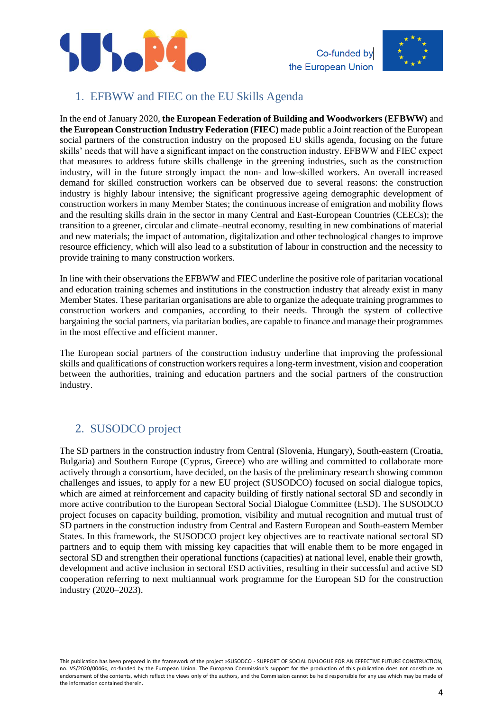



### <span id="page-3-0"></span>1. EFBWW and FIEC on the EU Skills Agenda

In the end of January 2020, **the European Federation of Building and Woodworkers (EFBWW)** and **the European Construction Industry Federation (FIEC)** made public a Joint reaction of the European social partners of the construction industry on the proposed EU skills agenda, focusing on the future skills' needs that will have a significant impact on the construction industry. EFBWW and FIEC expect that measures to address future skills challenge in the greening industries, such as the construction industry, will in the future strongly impact the non- and low-skilled workers. An overall increased demand for skilled construction workers can be observed due to several reasons: the construction industry is highly labour intensive; the significant progressive ageing demographic development of construction workers in many Member States; the continuous increase of emigration and mobility flows and the resulting skills drain in the sector in many Central and East-European Countries (CEECs); the transition to a greener, circular and climate–neutral economy, resulting in new combinations of material and new materials; the impact of automation, digitalization and other technological changes to improve resource efficiency, which will also lead to a substitution of labour in construction and the necessity to provide training to many construction workers.

In line with their observations the EFBWW and FIEC underline the positive role of paritarian vocational and education training schemes and institutions in the construction industry that already exist in many Member States. These paritarian organisations are able to organize the adequate training programmes to construction workers and companies, according to their needs. Through the system of collective bargaining the social partners, via paritarian bodies, are capable to finance and manage their programmes in the most effective and efficient manner.

The European social partners of the construction industry underline that improving the professional skills and qualifications of construction workers requires a long-term investment, vision and cooperation between the authorities, training and education partners and the social partners of the construction industry.

# <span id="page-3-1"></span>2. SUSODCO project

The SD partners in the construction industry from Central (Slovenia, Hungary), South-eastern (Croatia, Bulgaria) and Southern Europe (Cyprus, Greece) who are willing and committed to collaborate more actively through a consortium, have decided, on the basis of the preliminary research showing common challenges and issues, to apply for a new EU project (SUSODCO) focused on social dialogue topics, which are aimed at reinforcement and capacity building of firstly national sectoral SD and secondly in more active contribution to the European Sectoral Social Dialogue Committee (ESD). The SUSODCO project focuses on capacity building, promotion, visibility and mutual recognition and mutual trust of SD partners in the construction industry from Central and Eastern European and South-eastern Member States. In this framework, the SUSODCO project key objectives are to reactivate national sectoral SD partners and to equip them with missing key capacities that will enable them to be more engaged in sectoral SD and strengthen their operational functions (capacities) at national level, enable their growth, development and active inclusion in sectoral ESD activities, resulting in their successful and active SD cooperation referring to next multiannual work programme for the European SD for the construction industry (2020–2023).

This publication has been prepared in the framework of the project »SUSODCO - SUPPORT OF SOCIAL DIALOGUE FOR AN EFFECTIVE FUTURE CONSTRUCTION, no. VS/2020/0046«, co-funded by the European Union. The European Commission's support for the production of this publication does not constitute an endorsement of the contents, which reflect the views only of the authors, and the Commission cannot be held responsible for any use which may be made of the information contained therein.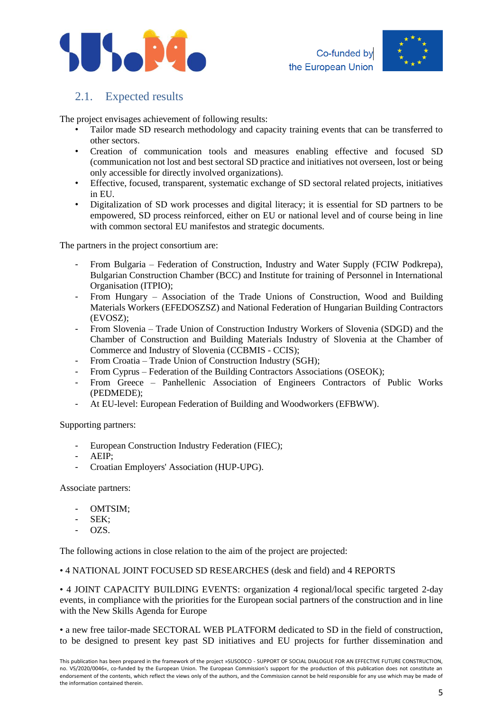



# <span id="page-4-0"></span>2.1. Expected results

The project envisages achievement of following results:

- Tailor made SD research methodology and capacity training events that can be transferred to other sectors.
- Creation of communication tools and measures enabling effective and focused SD (communication not lost and best sectoral SD practice and initiatives not overseen, lost or being only accessible for directly involved organizations).
- Effective, focused, transparent, systematic exchange of SD sectoral related projects, initiatives in EU.
- Digitalization of SD work processes and digital literacy; it is essential for SD partners to be empowered, SD process reinforced, either on EU or national level and of course being in line with common sectoral EU manifestos and strategic documents.

The partners in the project consortium are:

- From Bulgaria Federation of Construction, Industry and Water Supply (FCIW Podkrepa), Bulgarian Construction Chamber (BCC) and Institute for training of Personnel in International Organisation (ITPIO);
- From Hungary Association of the Trade Unions of Construction, Wood and Building Materials Workers (EFEDOSZSZ) and National Federation of Hungarian Building Contractors (EVOSZ);
- From Slovenia Trade Union of Construction Industry Workers of Slovenia (SDGD) and the Chamber of Construction and Building Materials Industry of Slovenia at the Chamber of Commerce and Industry of Slovenia (CCBMIS - CCIS);
- From Croatia Trade Union of Construction Industry (SGH);
- From Cyprus Federation of the Building Contractors Associations (OSEOK);
- From Greece Panhellenic Association of Engineers Contractors of Public Works (PEDMEDE);
- At EU-level: European Federation of Building and Woodworkers (EFBWW).

Supporting partners:

- European Construction Industry Federation (FIEC);
- AEIP:
- Croatian Employers' Association (HUP-UPG).

Associate partners:

- OMTSIM;
- SEK;
- OZS.

The following actions in close relation to the aim of the project are projected:

#### • 4 NATIONAL JOINT FOCUSED SD RESEARCHES (desk and field) and 4 REPORTS

• 4 JOINT CAPACITY BUILDING EVENTS: organization 4 regional/local specific targeted 2-day events, in compliance with the priorities for the European social partners of the construction and in line with the New Skills Agenda for Europe

• a new free tailor-made SECTORAL WEB PLATFORM dedicated to SD in the field of construction, to be designed to present key past SD initiatives and EU projects for further dissemination and

This publication has been prepared in the framework of the project »SUSODCO - SUPPORT OF SOCIAL DIALOGUE FOR AN EFFECTIVE FUTURE CONSTRUCTION, no. VS/2020/0046«, co-funded by the European Union. The European Commission's support for the production of this publication does not constitute an endorsement of the contents, which reflect the views only of the authors, and the Commission cannot be held responsible for any use which may be made of the information contained therein.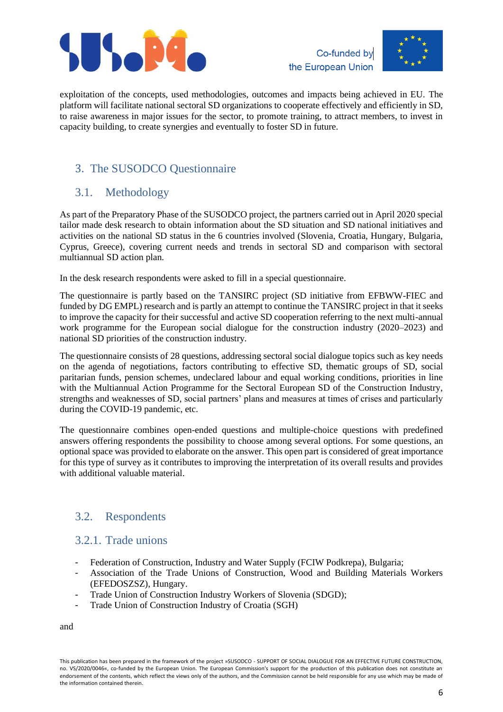



exploitation of the concepts, used methodologies, outcomes and impacts being achieved in EU. The platform will facilitate national sectoral SD organizations to cooperate effectively and efficiently in SD, to raise awareness in major issues for the sector, to promote training, to attract members, to invest in capacity building, to create synergies and eventually to foster SD in future.

# <span id="page-5-0"></span>3. The SUSODCO Questionnaire

# <span id="page-5-1"></span>3.1. Methodology

As part of the Preparatory Phase of the SUSODCO project, the partners carried out in April 2020 special tailor made desk research to obtain information about the SD situation and SD national initiatives and activities on the national SD status in the 6 countries involved (Slovenia, Croatia, Hungary, Bulgaria, Cyprus, Greece), covering current needs and trends in sectoral SD and comparison with sectoral multiannual SD action plan.

In the desk research respondents were asked to fill in a special questionnaire.

The questionnaire is partly based on the TANSIRC project (SD initiative from EFBWW-FIEC and funded by DG EMPL) research and is partly an attempt to continue the TANSIRC project in that it seeks to improve the capacity for their successful and active SD cooperation referring to the next multi-annual work programme for the European social dialogue for the construction industry (2020–2023) and national SD priorities of the construction industry.

The questionnaire consists of 28 questions, addressing sectoral social dialogue topics such as key needs on the agenda of negotiations, factors contributing to effective SD, thematic groups of SD, social paritarian funds, pension schemes, undeclared labour and equal working conditions, priorities in line with the Multiannual Action Programme for the Sectoral European SD of the Construction Industry, strengths and weaknesses of SD, social partners' plans and measures at times of crises and particularly during the COVID-19 pandemic, etc.

The questionnaire combines open-ended questions and multiple-choice questions with predefined answers offering respondents the possibility to choose among several options. For some questions, an optional space was provided to elaborate on the answer. This open part is considered of great importance for this type of survey as it contributes to improving the interpretation of its overall results and provides with additional valuable material.

# <span id="page-5-2"></span>3.2. Respondents

### <span id="page-5-3"></span>3.2.1. Trade unions

- Federation of Construction, Industry and Water Supply (FCIW Podkrepa), Bulgaria;
- Association of the Trade Unions of Construction, Wood and Building Materials Workers (EFEDOSZSZ), Hungary.
- Trade Union of Construction Industry Workers of Slovenia (SDGD);
- Trade Union of Construction Industry of Croatia (SGH)

and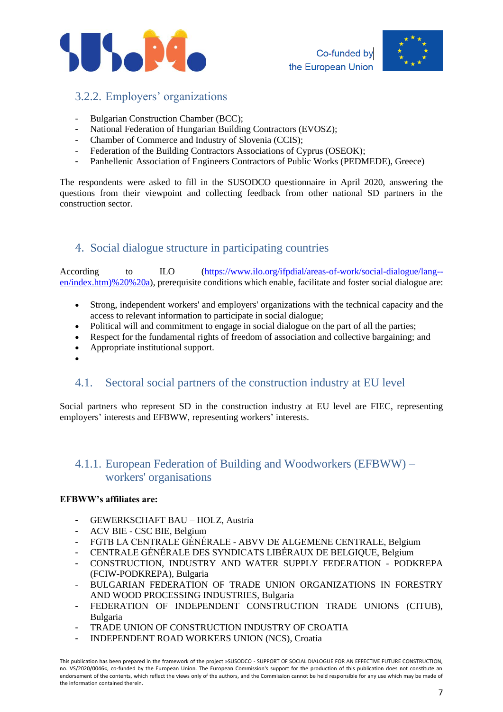



# <span id="page-6-0"></span>3.2.2. Employers' organizations

- Bulgarian Construction Chamber (BCC);
- National Federation of Hungarian Building Contractors (EVOSZ);
- Chamber of Commerce and Industry of Slovenia (CCIS);
- Federation of the Building Contractors Associations of Cyprus (OSEOK);
- Panhellenic Association of Engineers Contractors of Public Works (PEDMEDE), Greece)

The respondents were asked to fill in the SUSODCO questionnaire in April 2020, answering the questions from their viewpoint and collecting feedback from other national SD partners in the construction sector.

### <span id="page-6-1"></span>4. Social dialogue structure in participating countries

According to ILO [\(https://www.ilo.org/ifpdial/areas-of-work/social-dialogue/lang-](https://www.ilo.org/ifpdial/areas-of-work/social-dialogue/lang--en/index.htm)%20%20a) [en/index.htm\)%20%20a\)](https://www.ilo.org/ifpdial/areas-of-work/social-dialogue/lang--en/index.htm)%20%20a), prerequisite conditions which enable, facilitate and foster social dialogue are:

- Strong, independent workers' and employers' organizations with the technical capacity and the access to relevant information to participate in social dialogue;
- Political will and commitment to engage in social dialogue on the part of all the parties;
- Respect for the fundamental rights of freedom of association and collective bargaining; and
- Appropriate institutional support.
- •

# <span id="page-6-2"></span>4.1. Sectoral social partners of the construction industry at EU level

Social partners who represent SD in the construction industry at EU level are FIEC, representing employers' interests and EFBWW, representing workers' interests.

### <span id="page-6-3"></span>4.1.1. European Federation of Building and Woodworkers (EFBWW) – workers' organisations

### **EFBWW's affiliates are:**

- GEWERKSCHAFT BAU HOLZ, Austria
- ACV BIE CSC BIE, Belgium
- FGTB LA CENTRALE GÉNÉRALE ABVV DE ALGEMENE CENTRALE, Belgium
- CENTRALE GÉNÉRALE DES SYNDICATS LIBÉRAUX DE BELGIQUE, Belgium
- CONSTRUCTION, INDUSTRY AND WATER SUPPLY FEDERATION PODKREPA (FCIW-PODKREPA), Bulgaria
- BULGARIAN FEDERATION OF TRADE UNION ORGANIZATIONS IN FORESTRY AND WOOD PROCESSING INDUSTRIES, Bulgaria
- FEDERATION OF INDEPENDENT CONSTRUCTION TRADE UNIONS (CITUB), Bulgaria
- TRADE UNION OF CONSTRUCTION INDUSTRY OF CROATIA
- INDEPENDENT ROAD WORKERS UNION (NCS), Croatia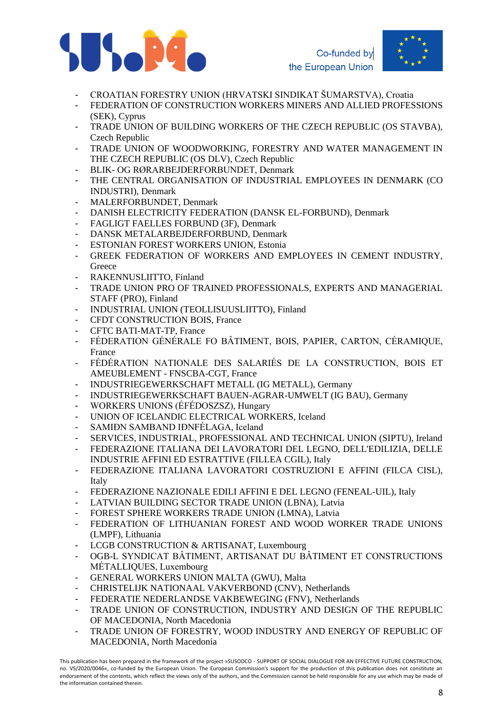



- CROATIAN FORESTRY UNION (HRVATSKI SINDIKAT ŠUMARSTVA), Croatia
- FEDERATION OF CONSTRUCTION WORKERS MINERS AND ALLIED PROFESSIONS (SEK), Cyprus
- TRADE UNION OF BUILDING WORKERS OF THE CZECH REPUBLIC (OS STAVBA), Czech Republic
- TRADE UNION OF WOODWORKING, FORESTRY AND WATER MANAGEMENT IN THE CZECH REPUBLIC (OS DLV), Czech Republic
- BLIK- OG RØRARBEJDERFORBUNDET, Denmark
- THE CENTRAL ORGANISATION OF INDUSTRIAL EMPLOYEES IN DENMARK (CO INDUSTRI), Denmark
- MALERFORBUNDET, Denmark
- DANISH ELECTRICITY FEDERATION (DANSK EL-FORBUND), Denmark
- FAGLIGT FAELLES FORBUND (3F), Denmark
- DANSK METALARBEJDERFORBUND, Denmark
- ESTONIAN FOREST WORKERS UNION, Estonia
- GREEK FEDERATION OF WORKERS AND EMPLOYEES IN CEMENT INDUSTRY. **Greece**
- RAKENNUSLIITTO, Finland
- TRADE UNION PRO OF TRAINED PROFESSIONALS, EXPERTS AND MANAGERIAL STAFF (PRO), Finland
- INDUSTRIAL UNION (TEOLLISUUSLIITTO), Finland
- CFDT CONSTRUCTION BOIS, France
- CFTC BATI-MAT-TP, France
- FÉDERATION GÉNÉRALE FO BÂTIMENT, BOIS, PAPIER, CARTON, CÉRAMIQUE, France
- FÉDÉRATION NATIONALE DES SALARIÉS DE LA CONSTRUCTION, BOIS ET AMEUBLEMENT - FNSCBA-CGT, France
- INDUSTRIEGEWERKSCHAFT METALL (IG METALL), Germany
- INDUSTRIEGEWERKSCHAFT BAUEN-AGRAR-UMWELT (IG BAU), Germany
- WORKERS UNIONS (ÉFÉDOSZSZ), Hungary
- UNION OF ICELANDIC ELECTRICAL WORKERS, Iceland
- SAMIÐN SAMBAND IÐNFÉLAGA, Iceland
- SERVICES, INDUSTRIAL, PROFESSIONAL AND TECHNICAL UNION (SIPTU), Ireland
- FEDERAZIONE ITALIANA DEI LAVORATORI DEL LEGNO, DELL'EDILIZIA, DELLE INDUSTRIE AFFINI ED ESTRATTIVE (FILLEA CGIL), Italy
- FEDERAZIONE ITALIANA LAVORATORI COSTRUZIONI E AFFINI (FILCA CISL), Italy
- FEDERAZIONE NAZIONALE EDILI AFFINI E DEL LEGNO (FENEAL-UIL), Italy
- LATVIAN BUILDING SECTOR TRADE UNION (LBNA), Latvia
- FOREST SPHERE WORKERS TRADE UNION (LMNA), Latvia
- FEDERATION OF LITHUANIAN FOREST AND WOOD WORKER TRADE UNIONS (LMPF), Lithuania
- LCGB CONSTRUCTION & ARTISANAT, Luxembourg
- OGB-L SYNDICAT BÂTIMENT, ARTISANAT DU BÂTIMENT ET CONSTRUCTIONS MÉTALLIQUES, Luxembourg
- GENERAL WORKERS UNION MALTA (GWU), Malta
- CHRISTELIJK NATIONAAL VAKVERBOND (CNV), Netherlands
- FEDERATIE NEDERLANDSE VAKBEWEGING (FNV), Netherlands
- TRADE UNION OF CONSTRUCTION, INDUSTRY AND DESIGN OF THE REPUBLIC OF MACEDONIA, North Macedonia
- TRADE UNION OF FORESTRY, WOOD INDUSTRY AND ENERGY OF REPUBLIC OF MACEDONIA, North Macedonia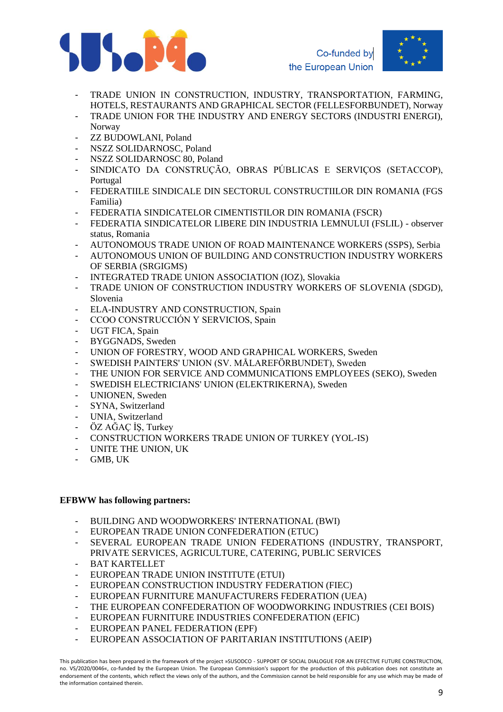



- TRADE UNION IN CONSTRUCTION, INDUSTRY, TRANSPORTATION, FARMING, HOTELS, RESTAURANTS AND GRAPHICAL SECTOR (FELLESFORBUNDET), Norway
- TRADE UNION FOR THE INDUSTRY AND ENERGY SECTORS (INDUSTRI ENERGI), Norway
- ZZ BUDOWLANI, Poland
- NSZZ SOLIDARNOSC, Poland
- NSZZ SOLIDARNOSC 80, Poland
- SINDICATO DA CONSTRUÇÃO, OBRAS PÚBLICAS E SERVIÇOS (SETACCOP), Portugal
- FEDERATIILE SINDICALE DIN SECTORUL CONSTRUCTIILOR DIN ROMANIA (FGS Familia)
- FEDERATIA SINDICATELOR CIMENTISTILOR DIN ROMANIA (FSCR)
- FEDERATIA SINDICATELOR LIBERE DIN INDUSTRIA LEMNULUI (FSLIL) observer status, Romania
- AUTONOMOUS TRADE UNION OF ROAD MAINTENANCE WORKERS (SSPS), Serbia
- AUTONOMOUS UNION OF BUILDING AND CONSTRUCTION INDUSTRY WORKERS OF SERBIA (SRGIGMS)
- INTEGRATED TRADE UNION ASSOCIATION (IOZ), Slovakia
- TRADE UNION OF CONSTRUCTION INDUSTRY WORKERS OF SLOVENIA (SDGD), Slovenia
- ELA-INDUSTRY AND CONSTRUCTION, Spain
- CCOO CONSTRUCCIÓN Y SERVICIOS, Spain
- UGT FICA, Spain
- BYGGNADS, Sweden
- UNION OF FORESTRY, WOOD AND GRAPHICAL WORKERS, Sweden
- SWEDISH PAINTERS' UNION (SV. MÅLAREFÖRBUNDET), Sweden
- THE UNION FOR SERVICE AND COMMUNICATIONS EMPLOYEES (SEKO), Sweden
- SWEDISH ELECTRICIANS' UNION (ELEKTRIKERNA), Sweden
- UNIONEN, Sweden
- SYNA, Switzerland
- UNIA, Switzerland
- ÖZ AĞAÇ İŞ, Turkey
- CONSTRUCTION WORKERS TRADE UNION OF TURKEY (YOL-IS)
- UNITE THE UNION, UK
- GMB, UK

#### **EFBWW has following partners:**

- BUILDING AND WOODWORKERS' INTERNATIONAL (BWI)
- EUROPEAN TRADE UNION CONFEDERATION (ETUC)
- SEVERAL EUROPEAN TRADE UNION FEDERATIONS (INDUSTRY, TRANSPORT, PRIVATE SERVICES, AGRICULTURE, CATERING, PUBLIC SERVICES
- BAT KARTELLET
- EUROPEAN TRADE UNION INSTITUTE (ETUI)
- EUROPEAN CONSTRUCTION INDUSTRY FEDERATION (FIEC)
- EUROPEAN FURNITURE MANUFACTURERS FEDERATION (UEA)
- THE EUROPEAN CONFEDERATION OF WOODWORKING INDUSTRIES (CEI BOIS)
- EUROPEAN FURNITURE INDUSTRIES CONFEDERATION (EFIC)
- EUROPEAN PANEL FEDERATION (EPF)
- EUROPEAN ASSOCIATION OF PARITARIAN INSTITUTIONS (AEIP)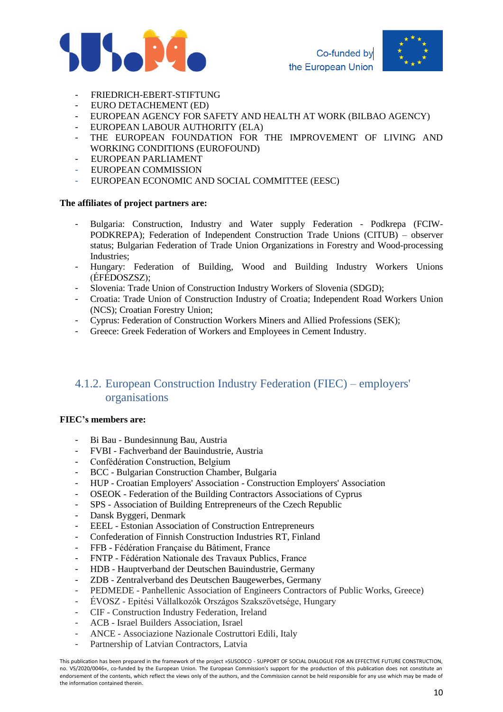



- FRIEDRICH-EBERT-STIFTUNG
- EURO DETACHEMENT (ED)
- EUROPEAN AGENCY FOR SAFETY AND HEALTH AT WORK (BILBAO AGENCY)
- EUROPEAN LABOUR AUTHORITY (ELA)
- THE EUROPEAN FOUNDATION FOR THE IMPROVEMENT OF LIVING AND WORKING CONDITIONS (EUROFOUND)
- EUROPEAN PARLIAMENT
- EUROPEAN COMMISSION
- EUROPEAN ECONOMIC AND SOCIAL COMMITTEE (EESC)

#### **The affiliates of project partners are:**

- Bulgaria: Construction, Industry and Water supply Federation Podkrepa (FCIW-PODKREPA); Federation of Independent Construction Trade Unions (CITUB) – observer status; Bulgarian Federation of Trade Union Organizations in Forestry and Wood-processing Industries;
- Hungary: Federation of Building, Wood and Building Industry Workers Unions (ÉFÉDOSZSZ);
- Slovenia: Trade Union of Construction Industry Workers of Slovenia (SDGD);
- Croatia: Trade Union of Construction Industry of Croatia; Independent Road Workers Union (NCS); Croatian Forestry Union;
- Cyprus: Federation of Construction Workers Miners and Allied Professions (SEK);
- Greece: Greek Federation of Workers and Employees in Cement Industry.

# <span id="page-9-0"></span>4.1.2. European Construction Industry Federation (FIEC) – employers' organisations

#### **FIEC's members are:**

- Bi Bau Bundesinnung Bau, Austria
- FVBI Fachverband der Bauindustrie, Austria
- Confédération Construction, Belgium
- BCC Bulgarian Construction Chamber, Bulgaria
- HUP Croatian Employers' Association Construction Employers' Association
- OSEOK Federation of the Building Contractors Associations of Cyprus
- SPS Association of Building Entrepreneurs of the Czech Republic
- Dansk Byggeri, Denmark
- EEEL Estonian Association of Construction Entrepreneurs
- Confederation of Finnish Construction Industries RT, Finland
- FFB Fédération Française du Bâtiment, France
- FNTP Fédération Nationale des Travaux Publics, France
- HDB Hauptverband der Deutschen Bauindustrie, Germany
- ZDB Zentralverband des Deutschen Baugewerbes, Germany
- PEDMEDE Panhellenic Association of Engineers Contractors of Public Works, Greece)
- ÉVOSZ Epitési Vállalkozók Országos Szakszövetsége, Hungary
- CIF Construction Industry Federation, Ireland
- ACB Israel Builders Association, Israel
- ANCE Associazione Nazionale Costruttori Edili, Italy
- Partnership of Latvian Contractors, Latvia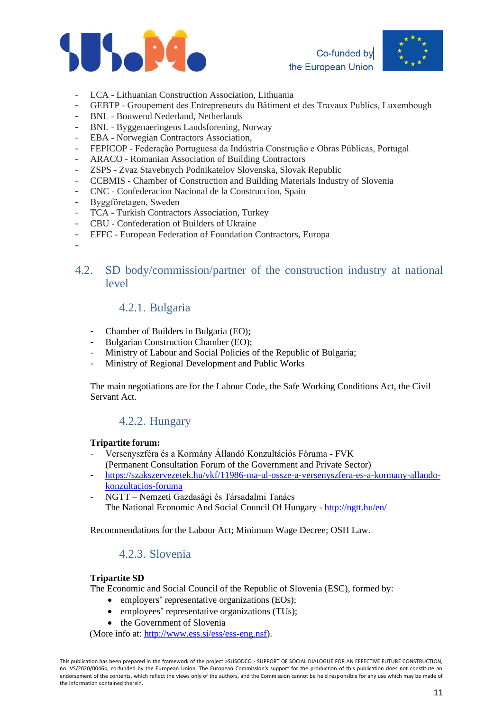





- LCA Lithuanian Construction Association, Lithuania
- GEBTP Groupement des Entrepreneurs du Bâtiment et des Travaux Publics, Luxembough
- BNL Bouwend Nederland, Netherlands
- BNL Byggenaeringens Landsforening, Norway
- EBA Norwegian Contractors Association,
- FEPICOP Federação Portuguesa da Indústria Construção e Obras Públicas, Portugal
- ARACO Romanian Association of Building Contractors
- ZSPS Zvaz Stavebnych Podnikatelov Slovenska, Slovak Republic
- CCBMIS Chamber of Construction and Building Materials Industry of Slovenia
- CNC Confederacion Nacional de la Construccion, Spain
- Byggföretagen, Sweden

-

- TCA Turkish Contractors Association, Turkey
- CBU Confederation of Builders of Ukraine
- EFFC European Federation of Foundation Contractors, Europa
- <span id="page-10-1"></span><span id="page-10-0"></span>4.2. SD body/commission/partner of the construction industry at national level

### 4.2.1. Bulgaria

- Chamber of Builders in Bulgaria (EO);
- Bulgarian Construction Chamber (EO);
- Ministry of Labour and Social Policies of the Republic of Bulgaria;
- Ministry of Regional Development and Public Works

The main negotiations are for the Labour Code, the Safe Working Conditions Act, the Civil Servant Act.

# 4.2.2. Hungary

#### <span id="page-10-2"></span>**Tripartite forum:**

- Versenyszféra és a Kormány Állandó Konzultációs Fóruma FVK (Permanent Consultation Forum of the Government and Private Sector)
- [https://szakszervezetek.hu/vkf/11986-ma-ul-ossze-a-versenyszfera-es-a-kormany-allando](https://szakszervezetek.hu/vkf/11986-ma-ul-ossze-a-versenyszfera-es-a-kormany-allando-konzultacios-foruma)[konzultacios-foruma](https://szakszervezetek.hu/vkf/11986-ma-ul-ossze-a-versenyszfera-es-a-kormany-allando-konzultacios-foruma)
- NGTT Nemzeti Gazdasági és Társadalmi Tanács The National Economic And Social Council Of Hungary - <http://ngtt.hu/en/>

<span id="page-10-3"></span>Recommendations for the Labour Act; Minimum Wage Decree; OSH Law.

### 4.2.3. Slovenia

#### **Tripartite SD**

The Economic and Social Council of the Republic of Slovenia (ESC), formed by:

- employers' representative organizations (EOs);
- employees' representative organizations (TUs);
- the Government of Slovenia

(More info at: [http://www.ess.si/ess/ess-eng.nsf\)](http://www.ess.si/ess/ess-eng.nsf).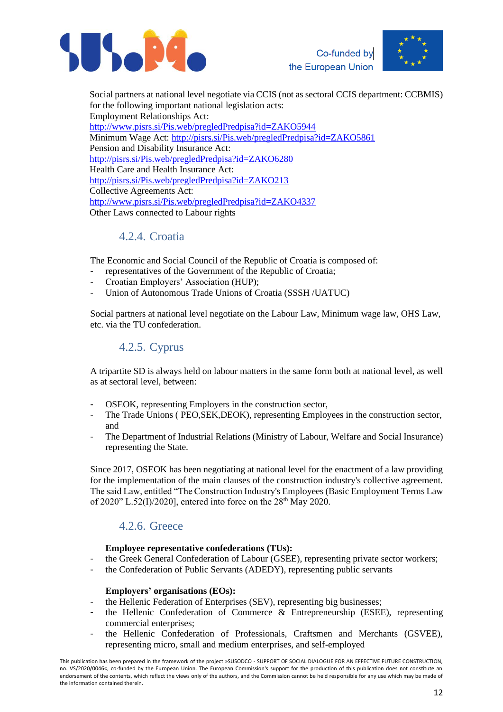



Social partners at national level negotiate via CCIS (not as sectoral CCIS department: CCBMIS) for the following important national legislation acts: Employment Relationships Act: <http://www.pisrs.si/Pis.web/pregledPredpisa?id=ZAKO5944> Minimum Wage Act:<http://pisrs.si/Pis.web/pregledPredpisa?id=ZAKO5861> Pension and Disability Insurance Act: <http://pisrs.si/Pis.web/pregledPredpisa?id=ZAKO6280> Health Care and Health Insurance Act: <http://pisrs.si/Pis.web/pregledPredpisa?id=ZAKO213> Collective Agreements Act: <http://www.pisrs.si/Pis.web/pregledPredpisa?id=ZAKO4337> Other Laws connected to Labour rights

# 4.2.4. Croatia

<span id="page-11-0"></span>The Economic and Social Council of the Republic of Croatia is composed of:

- representatives of the Government of the Republic of Croatia;
- Croatian Employers' Association (HUP);
- Union of Autonomous Trade Unions of Croatia (SSSH /UATUC)

<span id="page-11-1"></span>Social partners at national level negotiate on the Labour Law, Minimum wage law, OHS Law, etc. via the TU confederation.

### 4.2.5. Cyprus

A tripartite SD is always held on labour matters in the same form both at national level, as well as at sectoral level, between:

- OSEOK, representing Employers in the construction sector,
- The Trade Unions ( PEO, SEK, DEOK), representing Employees in the construction sector, and
- The Department of Industrial Relations (Ministry of Labour, Welfare and Social Insurance) representing the State.

Since 2017, OSEOK has been negotiating at national level for the enactment of a law providing for the implementation of the main clauses of the construction industry's collective agreement. The said Law, entitled "The Construction Industry's Employees (Basic Employment Terms Law of 2020" L.52(I)/2020], entered into force on the  $28<sup>th</sup>$  May 2020.

### 4.2.6. Greece

#### **Employee representative confederations (TUs):**

- <span id="page-11-2"></span>the Greek General Confederation of Labour (GSEE), representing private sector workers;
- the Confederation of Public Servants (ADEDY), representing public servants

#### **Employers' organisations (EOs):**

- the Hellenic Federation of Enterprises (SEV), representing big businesses;
- the Hellenic Confederation of Commerce & Entrepreneurship (ESEE), representing commercial enterprises;
- the Hellenic Confederation of Professionals, Craftsmen and Merchants (GSVEE), representing micro, small and medium enterprises, and self-employed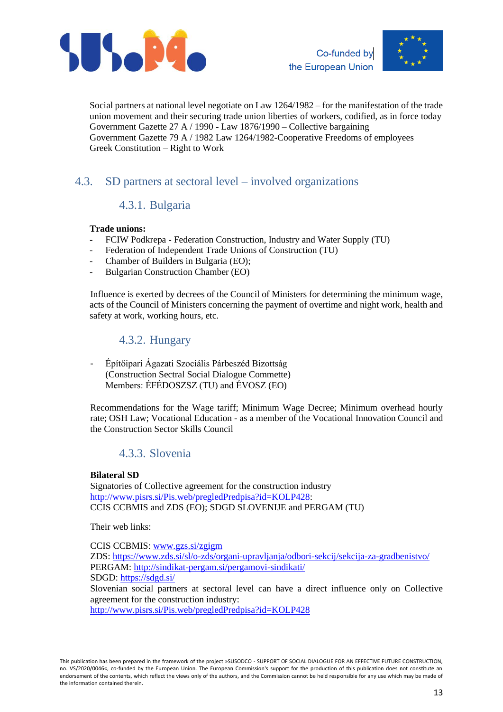



Social partners at national level negotiate on Law 1264/1982 – for the manifestation of the trade union movement and their securing trade union liberties of workers, codified, as in force today Government Gazette 27 A / 1990 - Law 1876/1990 – Collective bargaining Government Gazette 79 A / 1982 Law 1264/1982-Cooperative Freedoms of employees Greek Constitution – Right to Work

# <span id="page-12-1"></span><span id="page-12-0"></span>4.3. SD partners at sectoral level – involved organizations

# 4.3.1. Bulgaria

### **Trade unions:**

- FCIW Podkrepa Federation Construction, Industry and Water Supply (TU)
- Federation of Independent Trade Unions of Construction (TU)
- Chamber of Builders in Bulgaria (EO);
- Bulgarian Construction Chamber (EO)

Influence is exerted by decrees of the Council of Ministers for determining the minimum wage, acts of the Council of Ministers concerning the payment of overtime and night work, health and safety at work, working hours, etc.

### 4.3.2. Hungary

<span id="page-12-2"></span>- Építőipari Ágazati Szociális Párbeszéd Bizottság (Construction Sectral Social Dialogue Commette) Members: ÉFÉDOSZSZ (TU) and ÉVOSZ (EO)

Recommendations for the Wage tariff; Minimum Wage Decree; Minimum overhead hourly rate; OSH Law; Vocational Education - as a member of the Vocational Innovation Council and the Construction Sector Skills Council

# 4.3.3. Slovenia

### <span id="page-12-3"></span>**Bilateral SD**

Signatories of Collective agreement for the construction industry [http://www.pisrs.si/Pis.web/pregledPredpisa?id=KOLP428:](http://www.pisrs.si/Pis.web/pregledPredpisa?id=KOLP428) CCIS CCBMIS and ZDS (EO); SDGD SLOVENIJE and PERGAM (TU)

Their web links:

CCIS CCBMIS: [www.gzs.si/zgigm](http://www.gzs.si/zgigm) ZDS: <https://www.zds.si/sl/o-zds/organi-upravljanja/odbori-sekcij/sekcija-za-gradbenistvo/> PERGAM: <http://sindikat-pergam.si/pergamovi-sindikati/> SDGD: <https://sdgd.si/> Slovenian social partners at sectoral level can have a direct influence only on Collective agreement for the construction industry:

<http://www.pisrs.si/Pis.web/pregledPredpisa?id=KOLP428>

This publication has been prepared in the framework of the project »SUSODCO - SUPPORT OF SOCIAL DIALOGUE FOR AN EFFECTIVE FUTURE CONSTRUCTION, no. VS/2020/0046«, co-funded by the European Union. The European Commission's support for the production of this publication does not constitute an endorsement of the contents, which reflect the views only of the authors, and the Commission cannot be held responsible for any use which may be made of the information contained therein.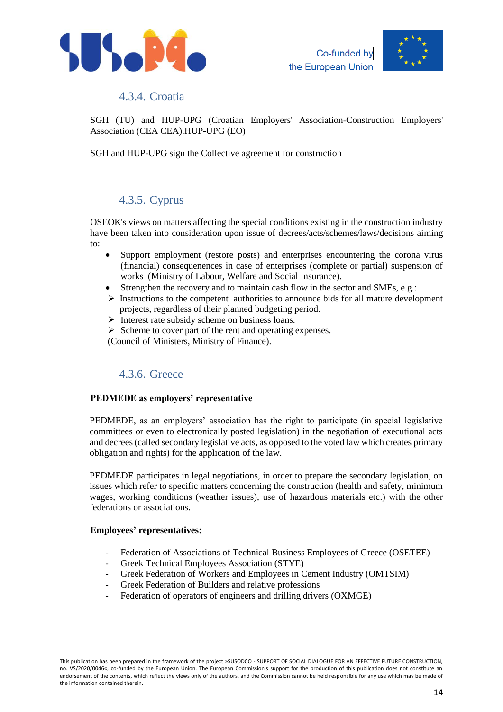



### 4.3.4. Croatia

<span id="page-13-0"></span>SGH (TU) and HUP-UPG (Croatian Employers' Association-Construction Employers' Association (CEA CEA).HUP-UPG (EO)

SGH and HUP-UPG sign the Collective agreement for construction

### 4.3.5. Cyprus

<span id="page-13-1"></span>OSEOK's views on matters affecting the special conditions existing in the construction industry have been taken into consideration upon issue of decrees/acts/schemes/laws/decisions aiming to:

- Support employment (restore posts) and enterprises encountering the corona virus (financial) consequenences in case of enterprises (complete or partial) suspension of works (Ministry of Labour, Welfare and Social Insurance).
- Strengthen the recovery and to maintain cash flow in the sector and SMEs, e.g.:
- ➢ Instructions to the competent authorities to announce bids for all mature development projects, regardless of their planned budgeting period.
- ➢ Interest rate subsidy scheme on business loans.
- ➢ Scheme to cover part of the rent and operating expenses.

(Council of Ministers, Ministry of Finance).

# 4.3.6. Greece

#### <span id="page-13-2"></span>**PEDMEDE as employers' representative**

PEDMEDE, as an employers' association has the right to participate (in special legislative committees or even to electronically posted legislation) in the negotiation of executional acts and decrees (called secondary legislative acts, as opposed to the voted law which creates primary obligation and rights) for the application of the law.

PEDMEDE participates in legal negotiations, in order to prepare the secondary legislation, on issues which refer to specific matters concerning the construction (health and safety, minimum wages, working conditions (weather issues), use of hazardous materials etc.) with the other federations or associations.

#### **Employees' representatives:**

- Federation of Associations of Technical Business Employees of Greece (OSETEE)
- Greek Technical Employees Association (STYE)
- Greek Federation of Workers and Employees in Cement Industry (OMTSIM)
- Greek Federation of Builders and relative professions
- Federation of operators of engineers and drilling drivers (OXMGE)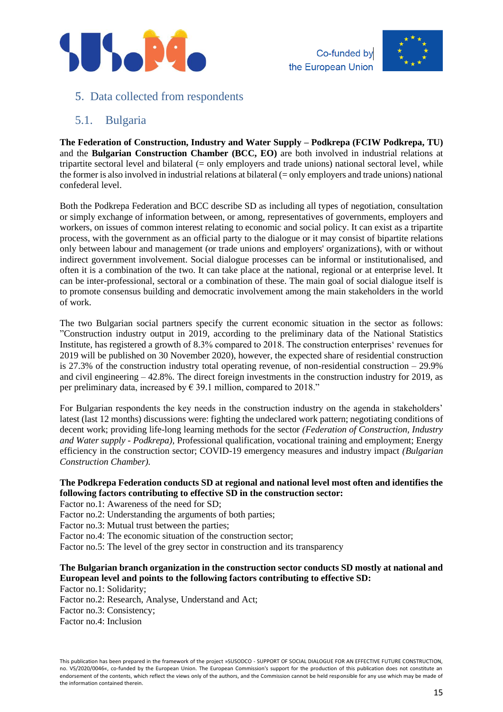



### <span id="page-14-0"></span>5. Data collected from respondents

### <span id="page-14-1"></span>5.1. Bulgaria

**The Federation of Construction, Industry and Water Supply – Podkrepa (FCIW Podkrepa, TU)** and the **Bulgarian Construction Chamber (BCC, EO)** are both involved in industrial relations at tripartite sectoral level and bilateral (= only employers and trade unions) national sectoral level, while the former is also involved in industrial relations at bilateral (= only employers and trade unions) national confederal level.

Both the Podkrepa Federation and BCC describe SD as including all types of negotiation, consultation or simply exchange of information between, or among, representatives of governments, employers and workers, on issues of common interest relating to economic and social policy. It can exist as a tripartite process, with the government as an official party to the dialogue or it may consist of bipartite relations only between labour and management (or trade unions and employers' organizations), with or without indirect government involvement. Social dialogue processes can be informal or institutionalised, and often it is a combination of the two. It can take place at the national, regional or at enterprise level. It can be inter-professional, sectoral or a combination of these. The main goal of social dialogue itself is to promote consensus building and democratic involvement among the main stakeholders in the world of work.

The two Bulgarian social partners specify the current economic situation in the sector as follows: "Construction industry output in 2019, according to the preliminary data of the National Statistics Institute, has registered a growth of 8.3% compared to 2018. The construction enterprises' revenues for 2019 will be published on 30 November 2020), however, the expected share of residential construction is 27.3% of the construction industry total operating revenue, of non-residential construction  $-29.9\%$ and civil engineering – 42.8%. The direct foreign investments in the construction industry for 2019, as per preliminary data, increased by  $\in$  39.1 million, compared to 2018."

For Bulgarian respondents the key needs in the construction industry on the agenda in stakeholders' latest (last 12 months) discussions were: fighting the undeclared work pattern; negotiating conditions of decent work; providing life-long learning methods for the sector *(Federation of Construction, Industry and Water supply - Podkrepa),* Professional qualification, vocational training and employment; Energy efficiency in the construction sector; COVID-19 emergency measures and industry impact *(Bulgarian Construction Chamber).*

### **The Podkrepa Federation conducts SD at regional and national level most often and identifies the following factors contributing to effective SD in the construction sector:**

Factor no.1: Awareness of the need for SD;

Factor no.2: Understanding the arguments of both parties;

Factor no.3: Mutual trust between the parties;

Factor no.4: The economic situation of the construction sector;

Factor no.5: The level of the grey sector in construction and its transparency

### **The Bulgarian branch organization in the construction sector conducts SD mostly at national and European level and points to the following factors contributing to effective SD:**

Factor no.1: Solidarity;

Factor no.2: Research, Analyse, Understand and Act;

Factor no.3: Consistency;

Factor no.4: Inclusion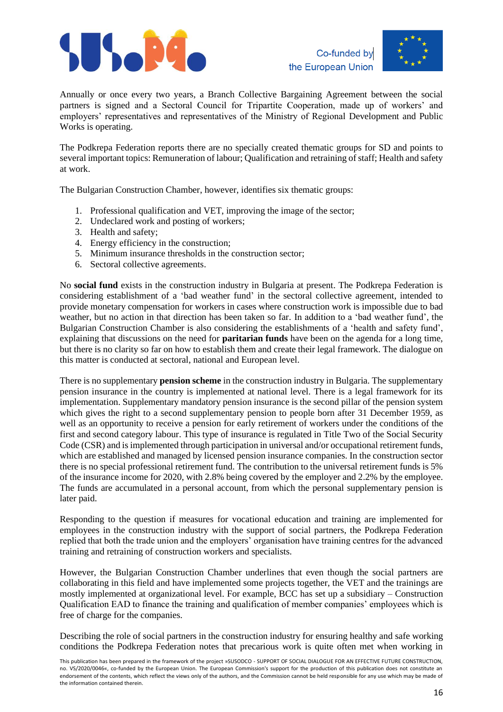



Annually or once every two years, a Branch Collective Bargaining Agreement between the social partners is signed and a Sectoral Council for Tripartite Cooperation, made up of workers' and employers' representatives and representatives of the Ministry of Regional Development and Public Works is operating.

The Podkrepa Federation reports there are no specially created thematic groups for SD and points to several important topics: Remuneration of labour; Qualification and retraining of staff; Health and safety at work.

The Bulgarian Construction Chamber, however, identifies six thematic groups:

- 1. Professional qualification and VET, improving the image of the sector;
- 2. Undeclared work and posting of workers;
- 3. Health and safety;
- 4. Energy efficiency in the construction;
- 5. Minimum insurance thresholds in the construction sector;
- 6. Sectoral collective agreements.

No **social fund** exists in the construction industry in Bulgaria at present. The Podkrepa Federation is considering establishment of a 'bad weather fund' in the sectoral collective agreement, intended to provide monetary compensation for workers in cases where construction work is impossible due to bad weather, but no action in that direction has been taken so far. In addition to a 'bad weather fund', the Bulgarian Construction Chamber is also considering the establishments of a 'health and safety fund', explaining that discussions on the need for **paritarian funds** have been on the agenda for a long time, but there is no clarity so far on how to establish them and create their legal framework. The dialogue on this matter is conducted at sectoral, national and European level.

There is no supplementary **pension scheme** in the construction industry in Bulgaria. The supplementary pension insurance in the country is implemented at national level. There is a legal framework for its implementation. Supplementary mandatory pension insurance is the second pillar of the pension system which gives the right to a second supplementary pension to people born after 31 December 1959, as well as an opportunity to receive a pension for early retirement of workers under the conditions of the first and second category labour. This type of insurance is regulated in Title Two of the Social Security Code (CSR) and is implemented through participation in universal and/or occupational retirement funds, which are established and managed by licensed pension insurance companies. In the construction sector there is no special professional retirement fund. The contribution to the universal retirement funds is 5% of the insurance income for 2020, with 2.8% being covered by the employer and 2.2% by the employee. The funds are accumulated in a personal account, from which the personal supplementary pension is later paid.

Responding to the question if measures for vocational education and training are implemented for employees in the construction industry with the support of social partners, the Podkrepa Federation replied that both the trade union and the employers' organisation have training centres for the advanced training and retraining of construction workers and specialists.

However, the Bulgarian Construction Chamber underlines that even though the social partners are collaborating in this field and have implemented some projects together, the VET and the trainings are mostly implemented at organizational level. For example, BCC has set up a subsidiary – Construction Qualification EAD to finance the training and qualification of member companies' employees which is free of charge for the companies.

Describing the role of social partners in the construction industry for ensuring healthy and safe working conditions the Podkrepa Federation notes that precarious work is quite often met when working in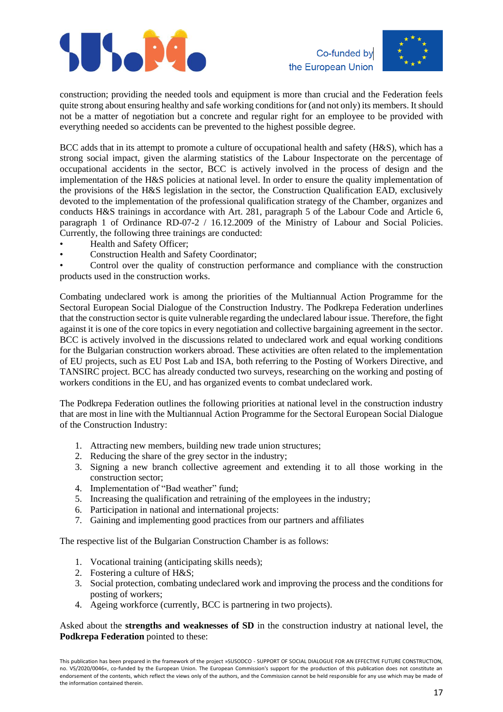



construction; providing the needed tools and equipment is more than crucial and the Federation feels quite strong about ensuring healthy and safe working conditions for (and not only) its members. It should not be a matter of negotiation but a concrete and regular right for an employee to be provided with everything needed so accidents can be prevented to the highest possible degree.

BCC adds that in its attempt to promote a culture of occupational health and safety (H&S), which has a strong social impact, given the alarming statistics of the Labour Inspectorate on the percentage of occupational accidents in the sector, BCC is actively involved in the process of design and the implementation of the H&S policies at national level. In order to ensure the quality implementation of the provisions of the H&S legislation in the sector, the Construction Qualification EAD, exclusively devoted to the implementation of the professional qualification strategy of the Chamber, organizes and conducts H&S trainings in accordance with Art. 281, paragraph 5 of the Labour Code and Article 6, paragraph 1 of Ordinance RD-07-2 / 16.12.2009 of the Ministry of Labour and Social Policies. Currently, the following three trainings are conducted:

- Health and Safety Officer;
- Construction Health and Safety Coordinator;

• Control over the quality of construction performance and compliance with the construction products used in the construction works.

Combating undeclared work is among the priorities of the Multiannual Action Programme for the Sectoral European Social Dialogue of the Construction Industry. The Podkrepa Federation underlines that the construction sector is quite vulnerable regarding the undeclared labour issue. Therefore, the fight against it is one of the core topics in every negotiation and collective bargaining agreement in the sector. BCC is actively involved in the discussions related to undeclared work and equal working conditions for the Bulgarian construction workers abroad. These activities are often related to the implementation of EU projects, such as EU Post Lab and ISA, both referring to the Posting of Workers Directive, and TANSIRC project. BCC has already conducted two surveys, researching on the working and posting of workers conditions in the EU, and has organized events to combat undeclared work.

The Podkrepa Federation outlines the following priorities at national level in the construction industry that are most in line with the Multiannual Action Programme for the Sectoral European Social Dialogue of the Construction Industry:

- 1. Attracting new members, building new trade union structures;
- 2. Reducing the share of the grey sector in the industry;
- 3. Signing a new branch collective agreement and extending it to all those working in the construction sector;
- 4. Implementation of "Bad weather" fund;
- 5. Increasing the qualification and retraining of the employees in the industry;
- 6. Participation in national and international projects:
- 7. Gaining and implementing good practices from our partners and affiliates

The respective list of the Bulgarian Construction Chamber is as follows:

- 1. Vocational training (anticipating skills needs);
- 2. Fostering a culture of H&S;
- 3. Social protection, combating undeclared work and improving the process and the conditions for posting of workers;
- 4. Ageing workforce (currently, BCC is partnering in two projects).

Asked about the **strengths and weaknesses of SD** in the construction industry at national level, the **Podkrepa Federation** pointed to these: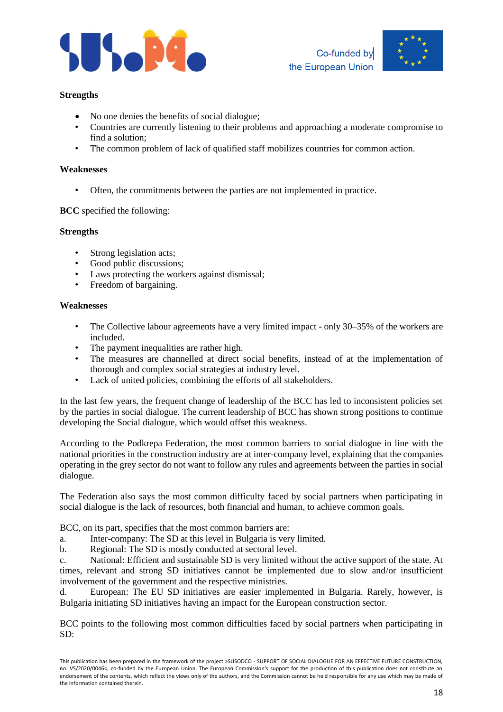



#### **Strengths**

- No one denies the benefits of social dialogue;
- Countries are currently listening to their problems and approaching a moderate compromise to find a solution;
- The common problem of lack of qualified staff mobilizes countries for common action.

#### **Weaknesses**

• Often, the commitments between the parties are not implemented in practice.

#### **BCC** specified the following:

#### **Strengths**

- Strong legislation acts;
- Good public discussions:
- Laws protecting the workers against dismissal;
- Freedom of bargaining.

#### **Weaknesses**

- The Collective labour agreements have a very limited impact only 30–35% of the workers are included.
- The payment inequalities are rather high.
- The measures are channelled at direct social benefits, instead of at the implementation of thorough and complex social strategies at industry level.
- Lack of united policies, combining the efforts of all stakeholders.

In the last few years, the frequent change of leadership of the BCC has led to inconsistent policies set by the parties in social dialogue. The current leadership of BCC has shown strong positions to continue developing the Social dialogue, which would offset this weakness.

According to the Podkrepa Federation, the most common barriers to social dialogue in line with the national priorities in the construction industry are at inter-company level, explaining that the companies operating in the grey sector do not want to follow any rules and agreements between the parties in social dialogue.

The Federation also says the most common difficulty faced by social partners when participating in social dialogue is the lack of resources, both financial and human, to achieve common goals.

BCC, on its part, specifies that the most common barriers are:

a. Inter-company: The SD at this level in Bulgaria is very limited.

b. Regional: The SD is mostly conducted at sectoral level.

c. National: Efficient and sustainable SD is very limited without the active support of the state. At times, relevant and strong SD initiatives cannot be implemented due to slow and/or insufficient involvement of the government and the respective ministries.

d. European: The EU SD initiatives are easier implemented in Bulgaria. Rarely, however, is Bulgaria initiating SD initiatives having an impact for the European construction sector.

BCC points to the following most common difficulties faced by social partners when participating in SD:

This publication has been prepared in the framework of the project »SUSODCO - SUPPORT OF SOCIAL DIALOGUE FOR AN EFFECTIVE FUTURE CONSTRUCTION, no. VS/2020/0046«, co-funded by the European Union. The European Commission's support for the production of this publication does not constitute an endorsement of the contents, which reflect the views only of the authors, and the Commission cannot be held responsible for any use which may be made of the information contained therein.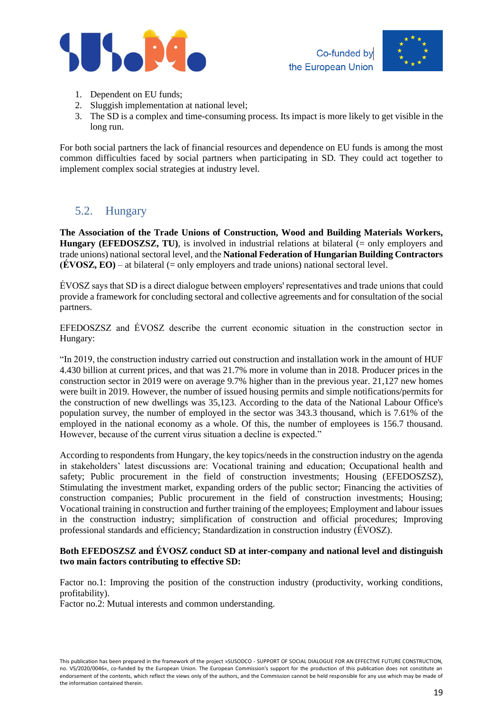



- 1. Dependent on EU funds;
- 2. Sluggish implementation at national level;
- 3. The SD is a complex and time-consuming process. Its impact is more likely to get visible in the long run.

For both social partners the lack of financial resources and dependence on EU funds is among the most common difficulties faced by social partners when participating in SD. They could act together to implement complex social strategies at industry level.

# <span id="page-18-0"></span>5.2. Hungary

**The Association of the Trade Unions of Construction, Wood and Building Materials Workers, Hungary (EFEDOSZSZ, TU)**, is involved in industrial relations at bilateral (= only employers and trade unions) national sectoral level, and the **National Federation of Hungarian Building Contractors**   $(\angle \textbf{FOSZ}, \angle \textbf{EO})$  – at bilateral (= only employers and trade unions) national sectoral level.

ÉVOSZ says that SD is a direct dialogue between employers' representatives and trade unions that could provide a framework for concluding sectoral and collective agreements and for consultation of the social partners.

EFEDOSZSZ and ÉVOSZ describe the current economic situation in the construction sector in Hungary:

"In 2019, the construction industry carried out construction and installation work in the amount of HUF 4.430 billion at current prices, and that was 21.7% more in volume than in 2018. Producer prices in the construction sector in 2019 were on average 9.7% higher than in the previous year. 21,127 new homes were built in 2019. However, the number of issued housing permits and simple notifications/permits for the construction of new dwellings was 35,123. According to the data of the National Labour Office's population survey, the number of employed in the sector was 343.3 thousand, which is 7.61% of the employed in the national economy as a whole. Of this, the number of employees is 156.7 thousand. However, because of the current virus situation a decline is expected."

According to respondents from Hungary, the key topics/needs in the construction industry on the agenda in stakeholders' latest discussions are: Vocational training and education; Occupational health and safety; Public procurement in the field of construction investments; Housing (EFEDOSZSZ), Stimulating the investment market, expanding orders of the public sector; Financing the activities of construction companies; Public procurement in the field of construction investments; Housing; Vocational training in construction and further training of the employees; Employment and labour issues in the construction industry; simplification of construction and official procedures; Improving professional standards and efficiency; Standardization in construction industry (ÉVOSZ).

#### **Both EFEDOSZSZ and ÉVOSZ conduct SD at inter-company and national level and distinguish two main factors contributing to effective SD:**

Factor no.1: Improving the position of the construction industry (productivity, working conditions, profitability).

Factor no.2: Mutual interests and common understanding.

This publication has been prepared in the framework of the project »SUSODCO - SUPPORT OF SOCIAL DIALOGUE FOR AN EFFECTIVE FUTURE CONSTRUCTION, no. VS/2020/0046«, co-funded by the European Union. The European Commission's support for the production of this publication does not constitute an endorsement of the contents, which reflect the views only of the authors, and the Commission cannot be held responsible for any use which may be made of the information contained therein.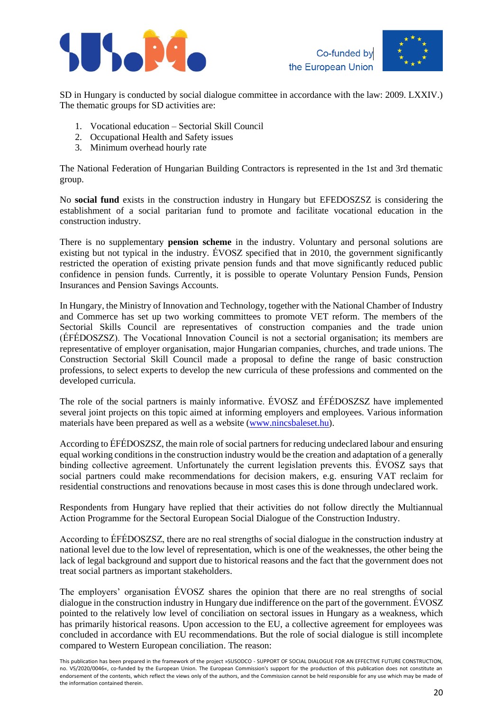





SD in Hungary is conducted by social dialogue committee in accordance with the law: 2009. LXXIV.) The thematic groups for SD activities are:

- 1. Vocational education Sectorial Skill Council
- 2. Occupational Health and Safety issues
- 3. Minimum overhead hourly rate

The National Federation of Hungarian Building Contractors is represented in the 1st and 3rd thematic group.

No **social fund** exists in the construction industry in Hungary but EFEDOSZSZ is considering the establishment of a social paritarian fund to promote and facilitate vocational education in the construction industry.

There is no supplementary **pension scheme** in the industry. Voluntary and personal solutions are existing but not typical in the industry. ÉVOSZ specified that in 2010, the government significantly restricted the operation of existing private pension funds and that move significantly reduced public confidence in pension funds. Currently, it is possible to operate Voluntary Pension Funds, Pension Insurances and Pension Savings Accounts.

In Hungary, the Ministry of Innovation and Technology, together with the National Chamber of Industry and Commerce has set up two working committees to promote VET reform. The members of the Sectorial Skills Council are representatives of construction companies and the trade union (ÉFÉDOSZSZ). The Vocational Innovation Council is not a sectorial organisation; its members are representative of employer organisation, major Hungarian companies, churches, and trade unions. The Construction Sectorial Skill Council made a proposal to define the range of basic construction professions, to select experts to develop the new curricula of these professions and commented on the developed curricula.

The role of the social partners is mainly informative. ÉVOSZ and ÉFÉDOSZSZ have implemented several joint projects on this topic aimed at informing employers and employees. Various information materials have been prepared as well as a website [\(www.nincsbaleset.hu\)](http://www.nincsbaleset.hu/).

According to ÉFÉDOSZSZ, the main role of social partners for reducing undeclared labour and ensuring equal working conditions in the construction industry would be the creation and adaptation of a generally binding collective agreement. Unfortunately the current legislation prevents this. ÉVOSZ says that social partners could make recommendations for decision makers, e.g. ensuring VAT reclaim for residential constructions and renovations because in most cases this is done through undeclared work.

Respondents from Hungary have replied that their activities do not follow directly the Multiannual Action Programme for the Sectoral European Social Dialogue of the Construction Industry.

According to ÉFÉDOSZSZ, there are no real strengths of social dialogue in the construction industry at national level due to the low level of representation, which is one of the weaknesses, the other being the lack of legal background and support due to historical reasons and the fact that the government does not treat social partners as important stakeholders.

The employers' organisation ÉVOSZ shares the opinion that there are no real strengths of social dialogue in the construction industry in Hungary due indifference on the part of the government. ÉVOSZ pointed to the relatively low level of conciliation on sectoral issues in Hungary as a weakness, which has primarily historical reasons. Upon accession to the EU, a collective agreement for employees was concluded in accordance with EU recommendations. But the role of social dialogue is still incomplete compared to Western European conciliation. The reason:

This publication has been prepared in the framework of the project »SUSODCO - SUPPORT OF SOCIAL DIALOGUE FOR AN EFFECTIVE FUTURE CONSTRUCTION, no. VS/2020/0046«, co-funded by the European Union. The European Commission's support for the production of this publication does not constitute an endorsement of the contents, which reflect the views only of the authors, and the Commission cannot be held responsible for any use which may be made of the information contained therein.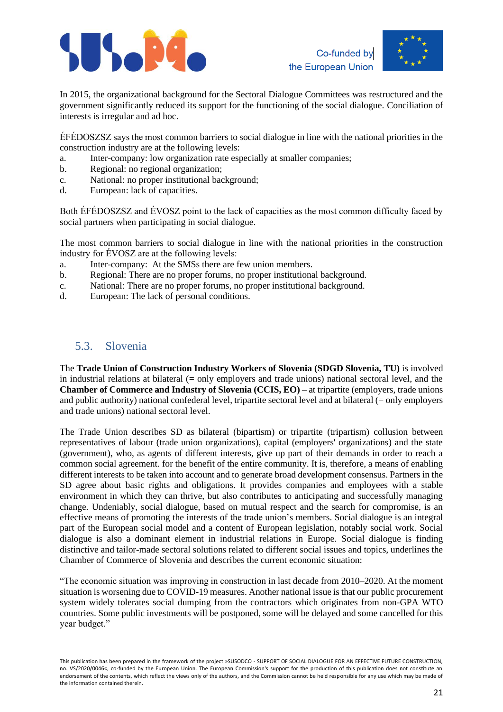





In 2015, the organizational background for the Sectoral Dialogue Committees was restructured and the government significantly reduced its support for the functioning of the social dialogue. Conciliation of interests is irregular and ad hoc.

ÉFÉDOSZSZ says the most common barriers to social dialogue in line with the national priorities in the construction industry are at the following levels:

- a. Inter-company: low organization rate especially at smaller companies;
- b. Regional: no regional organization;
- c. National: no proper institutional background;
- d. European: lack of capacities.

Both ÉFÉDOSZSZ and ÉVOSZ point to the lack of capacities as the most common difficulty faced by social partners when participating in social dialogue.

The most common barriers to social dialogue in line with the national priorities in the construction industry for ÉVOSZ are at the following levels:

- a. Inter-company: At the SMSs there are few union members.
- b. Regional: There are no proper forums, no proper institutional background.
- c. National: There are no proper forums, no proper institutional background.
- d. European: The lack of personal conditions.

### <span id="page-20-0"></span>5.3. Slovenia

The **Trade Union of Construction Industry Workers of Slovenia (SDGD Slovenia, TU)** is involved in industrial relations at bilateral (= only employers and trade unions) national sectoral level, and the **Chamber of Commerce and Industry of Slovenia (CCIS, EO)** – at tripartite (employers, trade unions and public authority) national confederal level, tripartite sectoral level and at bilateral (= only employers and trade unions) national sectoral level.

The Trade Union describes SD as bilateral (bipartism) or tripartite (tripartism) collusion between representatives of labour (trade union organizations), capital (employers' organizations) and the state (government), who, as agents of different interests, give up part of their demands in order to reach a common social agreement. for the benefit of the entire community. It is, therefore, a means of enabling different interests to be taken into account and to generate broad development consensus. Partners in the SD agree about basic rights and obligations. It provides companies and employees with a stable environment in which they can thrive, but also contributes to anticipating and successfully managing change. Undeniably, social dialogue, based on mutual respect and the search for compromise, is an effective means of promoting the interests of the trade union's members. Social dialogue is an integral part of the European social model and a content of European legislation, notably social work. Social dialogue is also a dominant element in industrial relations in Europe. Social dialogue is finding distinctive and tailor-made sectoral solutions related to different social issues and topics, underlines the Chamber of Commerce of Slovenia and describes the current economic situation:

"The economic situation was improving in construction in last decade from 2010–2020. At the moment situation is worsening due to COVID-19 measures. Another national issue is that our public procurement system widely tolerates social dumping from the contractors which originates from non-GPA WTO countries. Some public investments will be postponed, some will be delayed and some cancelled for this year budget."

This publication has been prepared in the framework of the project »SUSODCO - SUPPORT OF SOCIAL DIALOGUE FOR AN EFFECTIVE FUTURE CONSTRUCTION, no. VS/2020/0046«, co-funded by the European Union. The European Commission's support for the production of this publication does not constitute an endorsement of the contents, which reflect the views only of the authors, and the Commission cannot be held responsible for any use which may be made of the information contained therein.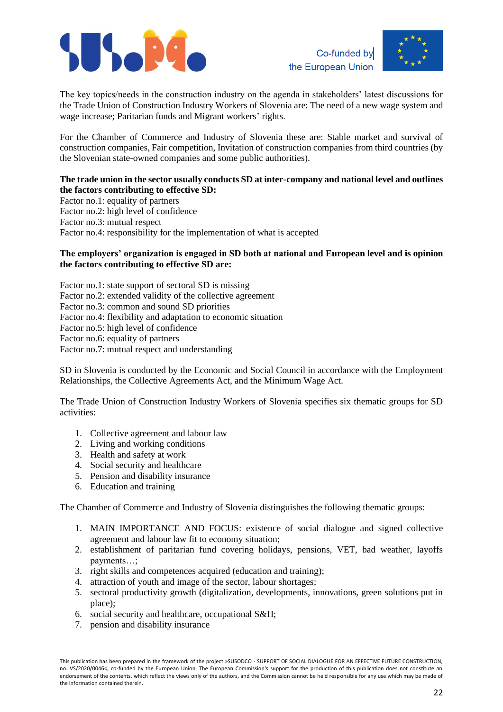



The key topics/needs in the construction industry on the agenda in stakeholders' latest discussions for the Trade Union of Construction Industry Workers of Slovenia are: The need of a new wage system and wage increase; Paritarian funds and Migrant workers' rights.

For the Chamber of Commerce and Industry of Slovenia these are: Stable market and survival of construction companies, Fair competition, Invitation of construction companies from third countries (by the Slovenian state-owned companies and some public authorities).

#### **The trade union in the sector usually conducts SD at inter-company and national level and outlines the factors contributing to effective SD:**

Factor no.1: equality of partners Factor no.2: high level of confidence Factor no.3: mutual respect Factor no.4: responsibility for the implementation of what is accepted

#### **The employers' organization is engaged in SD both at national and European level and is opinion the factors contributing to effective SD are:**

Factor no.1: state support of sectoral SD is missing Factor no.2: extended validity of the collective agreement Factor no.3: common and sound SD priorities Factor no.4: flexibility and adaptation to economic situation Factor no.5: high level of confidence Factor no.6: equality of partners Factor no.7: mutual respect and understanding

SD in Slovenia is conducted by the Economic and Social Council in accordance with the Employment Relationships, the Collective Agreements Act, and the Minimum Wage Act.

The Trade Union of Construction Industry Workers of Slovenia specifies six thematic groups for SD activities:

- 1. Collective agreement and labour law
- 2. Living and working conditions
- 3. Health and safety at work
- 4. Social security and healthcare
- 5. Pension and disability insurance
- 6. Education and training

The Chamber of Commerce and Industry of Slovenia distinguishes the following thematic groups:

- 1. MAIN IMPORTANCE AND FOCUS: existence of social dialogue and signed collective agreement and labour law fit to economy situation;
- 2. establishment of paritarian fund covering holidays, pensions, VET, bad weather, layoffs payments…;
- 3. right skills and competences acquired (education and training);
- 4. attraction of youth and image of the sector, labour shortages;
- 5. sectoral productivity growth (digitalization, developments, innovations, green solutions put in place);
- 6. social security and healthcare, occupational S&H;
- 7. pension and disability insurance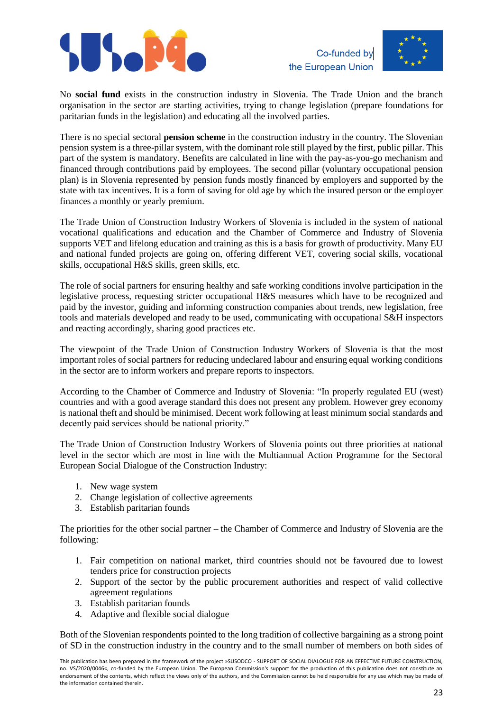





No **social fund** exists in the construction industry in Slovenia. The Trade Union and the branch organisation in the sector are starting activities, trying to change legislation (prepare foundations for paritarian funds in the legislation) and educating all the involved parties.

There is no special sectoral **pension scheme** in the construction industry in the country. The Slovenian pension system is a three-pillar system, with the dominant role still played by the first, public pillar. This part of the system is mandatory. Benefits are calculated in line with the pay-as-you-go mechanism and financed through contributions paid by employees. The second pillar (voluntary occupational pension plan) is in Slovenia represented by pension funds mostly financed by employers and supported by the state with tax incentives. It is a form of saving for old age by which the insured person or the employer finances a monthly or yearly premium.

The Trade Union of Construction Industry Workers of Slovenia is included in the system of national vocational qualifications and education and the Chamber of Commerce and Industry of Slovenia supports VET and lifelong education and training as this is a basis for growth of productivity. Many EU and national funded projects are going on, offering different VET, covering social skills, vocational skills, occupational H&S skills, green skills, etc.

The role of social partners for ensuring healthy and safe working conditions involve participation in the legislative process, requesting stricter occupational H&S measures which have to be recognized and paid by the investor, guiding and informing construction companies about trends, new legislation, free tools and materials developed and ready to be used, communicating with occupational S&H inspectors and reacting accordingly, sharing good practices etc.

The viewpoint of the Trade Union of Construction Industry Workers of Slovenia is that the most important roles of social partners for reducing undeclared labour and ensuring equal working conditions in the sector are to inform workers and prepare reports to inspectors.

According to the Chamber of Commerce and Industry of Slovenia: "In properly regulated EU (west) countries and with a good average standard this does not present any problem. However grey economy is national theft and should be minimised. Decent work following at least minimum social standards and decently paid services should be national priority."

The Trade Union of Construction Industry Workers of Slovenia points out three priorities at national level in the sector which are most in line with the Multiannual Action Programme for the Sectoral European Social Dialogue of the Construction Industry:

- 1. New wage system
- 2. Change legislation of collective agreements
- 3. Establish paritarian founds

The priorities for the other social partner – the Chamber of Commerce and Industry of Slovenia are the following:

- 1. Fair competition on national market, third countries should not be favoured due to lowest tenders price for construction projects
- 2. Support of the sector by the public procurement authorities and respect of valid collective agreement regulations
- 3. Establish paritarian founds
- 4. Adaptive and flexible social dialogue

Both of the Slovenian respondents pointed to the long tradition of collective bargaining as a strong point of SD in the construction industry in the country and to the small number of members on both sides of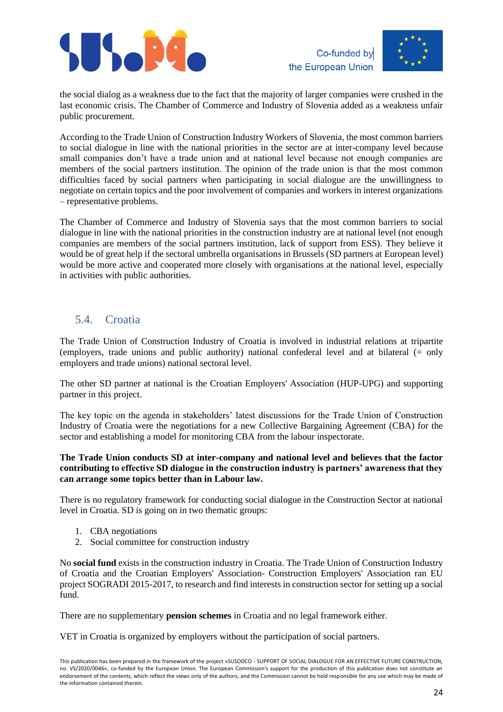





the social dialog as a weakness due to the fact that the majority of larger companies were crushed in the last economic crisis. The Chamber of Commerce and Industry of Slovenia added as a weakness unfair public procurement.

According to the Trade Union of Construction Industry Workers of Slovenia, the most common barriers to social dialogue in line with the national priorities in the sector are at inter-company level because small companies don't have a trade union and at national level because not enough companies are members of the social partners institution. The opinion of the trade union is that the most common difficulties faced by social partners when participating in social dialogue are the unwillingness to negotiate on certain topics and the poor involvement of companies and workers in interest organizations – representative problems.

The Chamber of Commerce and Industry of Slovenia says that the most common barriers to social dialogue in line with the national priorities in the construction industry are at national level (not enough companies are members of the social partners institution, lack of support from ESS). They believe it would be of great help if the sectoral umbrella organisations in Brussels (SD partners at European level) would be more active and cooperated more closely with organisations at the national level, especially in activities with public authorities.

### <span id="page-23-0"></span>5.4. Croatia

The Trade Union of Construction Industry of Croatia is involved in industrial relations at tripartite (employers, trade unions and public authority) national confederal level and at bilateral (= only employers and trade unions) national sectoral level.

The other SD partner at national is the Croatian Employers' Association (HUP-UPG) and supporting partner in this project.

The key topic on the agenda in stakeholders' latest discussions for the Trade Union of Construction Industry of Croatia were the negotiations for a new Collective Bargaining Agreement (CBA) for the sector and establishing a model for monitoring CBA from the labour inspectorate.

#### **The Trade Union conducts SD at inter-company and national level and believes that the factor contributing to effective SD dialogue in the construction industry is partners' awareness that they can arrange some topics better than in Labour law.**

There is no regulatory framework for conducting social dialogue in the Construction Sector at national level in Croatia. SD is going on in two thematic groups:

- 1. CBA negotiations
- 2. Social committee for construction industry

No **social fund** exists in the construction industry in Croatia. The Trade Union of Construction Industry of Croatia and the Croatian Employers' Association- Construction Employers' Association ran EU project SOGRADI 2015-2017, to research and find interests in construction sector for setting up a social fund.

There are no supplementary **pension schemes** in Croatia and no legal framework either.

VET in Croatia is organized by employers without the participation of social partners.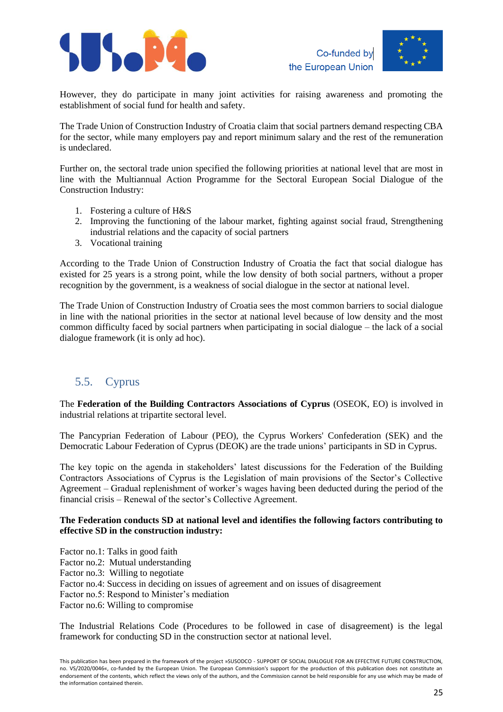



However, they do participate in many joint activities for raising awareness and promoting the establishment of social fund for health and safety.

The Trade Union of Construction Industry of Croatia claim that social partners demand respecting CBA for the sector, while many employers pay and report minimum salary and the rest of the remuneration is undeclared.

Further on, the sectoral trade union specified the following priorities at national level that are most in line with the Multiannual Action Programme for the Sectoral European Social Dialogue of the Construction Industry:

- 1. Fostering a culture of H&S
- 2. Improving the functioning of the labour market, fighting against social fraud, Strengthening industrial relations and the capacity of social partners
- 3. Vocational training

According to the Trade Union of Construction Industry of Croatia the fact that social dialogue has existed for 25 years is a strong point, while the low density of both social partners, without a proper recognition by the government, is a weakness of social dialogue in the sector at national level.

The Trade Union of Construction Industry of Croatia sees the most common barriers to social dialogue in line with the national priorities in the sector at national level because of low density and the most common difficulty faced by social partners when participating in social dialogue – the lack of a social dialogue framework (it is only ad hoc).

# <span id="page-24-0"></span>5.5. Cyprus

The **Federation of the Building Contractors Associations of Cyprus** (OSEOK, EO) is involved in industrial relations at tripartite sectoral level.

The Pancyprian Federation of Labour (PEO), the Cyprus Workers' Confederation (SEK) and the Democratic Labour Federation of Cyprus (DEOK) are the trade unions' participants in SD in Cyprus.

The key topic on the agenda in stakeholders' latest discussions for the Federation of the Building Contractors Associations of Cyprus is the Legislation of main provisions of the Sector's Collective Agreement – Gradual replenishment of worker's wages having been deducted during the period of the financial crisis – Renewal of the sector's Collective Agreement.

#### **The Federation conducts SD at national level and identifies the following factors contributing to effective SD in the construction industry:**

Factor no.1: Talks in good faith Factor no.2: Mutual understanding Factor no.3: Willing to negotiate Factor no.4: Success in deciding on issues of agreement and on issues of disagreement Factor no.5: Respond to Minister's mediation Factor no.6: Willing to compromise

The Industrial Relations Code (Procedures to be followed in case of disagreement) is the legal framework for conducting SD in the construction sector at national level.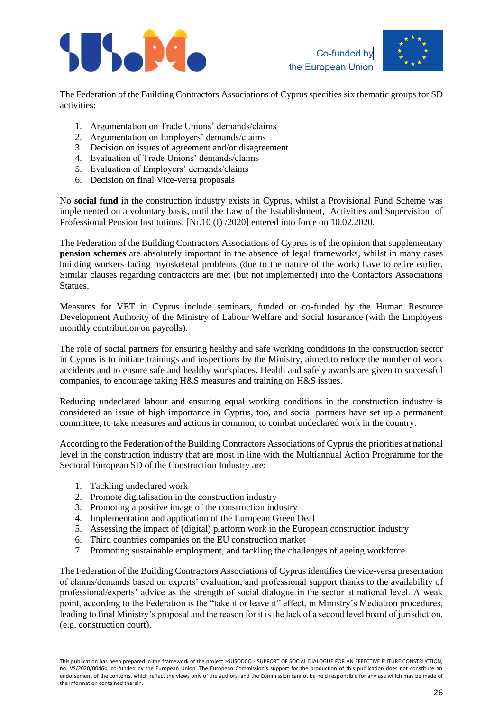





The Federation of the Building Contractors Associations of Cyprus specifies six thematic groups for SD activities:

- 1. Argumentation on Trade Unions' demands/claims
- 2. Argumentation on Employers' demands/claims
- 3. Decision on issues of agreement and/or disagreement
- 4. Evaluation of Trade Unions' demands/claims
- 5. Evaluation of Employers' demands/claims
- 6. Decision on final Vice-versa proposals

No **social fund** in the construction industry exists in Cyprus, whilst a Provisional Fund Scheme was implemented on a voluntary basis, until the Law of the Establishment, Activities and Supervision of Professional Pension Institutions, [Nr.10 (I) /2020] entered into force on 10.02.2020.

The Federation of the Building Contractors Associations of Cyprus is of the opinion that supplementary **pension schemes** are absolutely important in the absence of legal frameworks, whilst in many cases building workers facing myoskeletal problems (due to the nature of the work) have to retire earlier. Similar clauses regarding contractors are met (but not implemented) into the Contactors Associations Statues.

Measures for VET in Cyprus include seminars, funded or co-funded by the Human Resource Development Authority of the Ministry of Labour Welfare and Social Insurance (with the Employers monthly contribution on payrolls).

The role of social partners for ensuring healthy and safe working conditions in the construction sector in Cyprus is to initiate trainings and inspections by the Ministry, aimed to reduce the number of work accidents and to ensure safe and healthy workplaces. Health and safely awards are given to successful companies, to encourage taking H&S measures and training on H&S issues.

Reducing undeclared labour and ensuring equal working conditions in the construction industry is considered an issue of high importance in Cyprus, too, and social partners have set up a permanent committee, to take measures and actions in common, to combat undeclared work in the country.

According to the Federation of the Building Contractors Associations of Cyprus the priorities at national level in the construction industry that are most in line with the Multiannual Action Programme for the Sectoral European SD of the Construction Industry are:

- 1. Tackling undeclared work
- 2. Promote digitalisation in the construction industry
- 3. Promoting a positive image of the construction industry
- 4. Implementation and application of the European Green Deal
- 5. Assessing the impact of (digital) platform work in the European construction industry
- 6. Third countries companies on the EU construction market
- 7. Promoting sustainable employment, and tackling the challenges of ageing workforce

The Federation of the Building Contractors Associations of Cyprus identifies the vice-versa presentation of claims/demands based on experts' evaluation, and professional support thanks to the availability of professional/experts' advice as the strength of social dialogue in the sector at national level. A weak point, according to the Federation is the "take it or leave it" effect, in Ministry's Mediation procedures, leading to final Ministry's proposal and the reason for it is the lack of a second level board of jurisdiction, (e.g. construction court).

This publication has been prepared in the framework of the project »SUSODCO - SUPPORT OF SOCIAL DIALOGUE FOR AN EFFECTIVE FUTURE CONSTRUCTION, no. VS/2020/0046«, co-funded by the European Union. The European Commission's support for the production of this publication does not constitute an endorsement of the contents, which reflect the views only of the authors, and the Commission cannot be held responsible for any use which may be made of the information contained therein.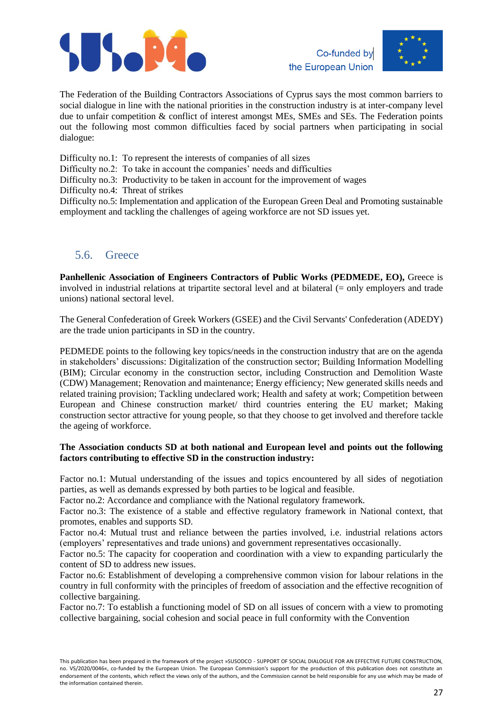





The Federation of the Building Contractors Associations of Cyprus says the most common barriers to social dialogue in line with the national priorities in the construction industry is at inter-company level due to unfair competition & conflict of interest amongst MEs, SMEs and SEs. The Federation points out the following most common difficulties faced by social partners when participating in social dialogue:

Difficulty no.1: To represent the interests of companies of all sizes

Difficulty no.2: To take in account the companies' needs and difficulties

Difficulty no.3: Productivity to be taken in account for the improvement of wages

Difficulty no.4: Threat of strikes

Difficulty no.5: Implementation and application of the European Green Deal and Promoting sustainable employment and tackling the challenges of ageing workforce are not SD issues yet.

### <span id="page-26-0"></span>5.6. Greece

**Panhellenic Association of Engineers Contractors of Public Works (PEDMEDE, EO),** Greece is involved in industrial relations at tripartite sectoral level and at bilateral (= only employers and trade unions) national sectoral level.

The General Confederation of Greek Workers (GSEE) and the Civil Servants' Confederation (ADEDY) are the trade union participants in SD in the country.

PEDMEDE points to the following key topics/needs in the construction industry that are on the agenda in stakeholders' discussions: Digitalization of the construction sector; Building Information Modelling (BIM); Circular economy in the construction sector, including Construction and Demolition Waste (CDW) Management; Renovation and maintenance; Energy efficiency; New generated skills needs and related training provision; Tackling undeclared work; Health and safety at work; Competition between European and Chinese construction market/ third countries entering the EU market; Making construction sector attractive for young people, so that they choose to get involved and therefore tackle the ageing of workforce.

#### **The Association conducts SD at both national and European level and points out the following factors contributing to effective SD in the construction industry:**

Factor no.1: Mutual understanding of the issues and topics encountered by all sides of negotiation parties, as well as demands expressed by both parties to be logical and feasible.

Factor no.2: Accordance and compliance with the National regulatory framework.

Factor no.3: The existence of a stable and effective regulatory framework in National context, that promotes, enables and supports SD.

Factor no.4: Mutual trust and reliance between the parties involved, i.e. industrial relations actors (employers' representatives and trade unions) and government representatives occasionally.

Factor no.5: The capacity for cooperation and coordination with a view to expanding particularly the content of SD to address new issues.

Factor no.6: Establishment of developing a comprehensive common vision for labour relations in the country in full conformity with the principles of freedom of association and the effective recognition of collective bargaining.

Factor no.7: To establish a functioning model of SD on all issues of concern with a view to promoting collective bargaining, social cohesion and social peace in full conformity with the Convention

This publication has been prepared in the framework of the project »SUSODCO - SUPPORT OF SOCIAL DIALOGUE FOR AN EFFECTIVE FUTURE CONSTRUCTION, no. VS/2020/0046«, co-funded by the European Union. The European Commission's support for the production of this publication does not constitute an endorsement of the contents, which reflect the views only of the authors, and the Commission cannot be held responsible for any use which may be made of the information contained therein.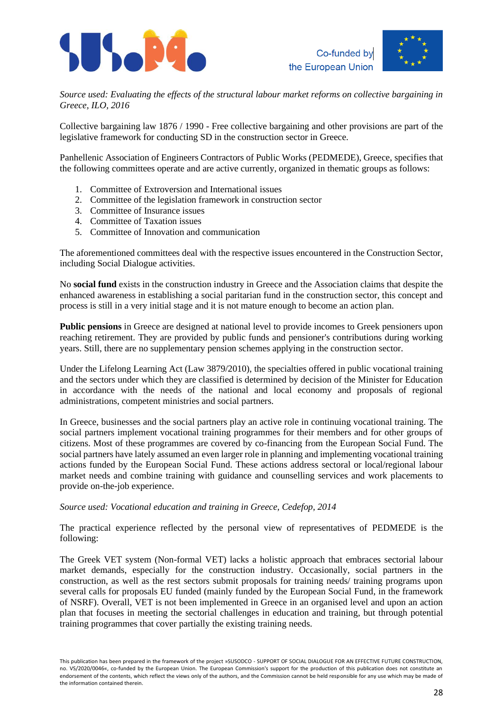



*Source used: Evaluating the effects of the structural labour market reforms on collective bargaining in Greece, ILO, 2016*

Collective bargaining law 1876 / 1990 - Free collective bargaining and other provisions are part of the legislative framework for conducting SD in the construction sector in Greece.

Panhellenic Association of Engineers Contractors of Public Works (PEDMEDE), Greece, specifies that the following committees operate and are active currently, organized in thematic groups as follows:

- 1. Committee of Extroversion and International issues
- 2. Committee of the legislation framework in construction sector
- 3. Committee of Insurance issues
- 4. Committee of Taxation issues
- 5. Committee of Innovation and communication

The aforementioned committees deal with the respective issues encountered in the Construction Sector, including Social Dialogue activities.

No **social fund** exists in the construction industry in Greece and the Association claims that despite the enhanced awareness in establishing a social paritarian fund in the construction sector, this concept and process is still in a very initial stage and it is not mature enough to become an action plan.

**Public pensions** in Greece are designed at national level to provide incomes to Greek pensioners upon reaching retirement. They are provided by public funds and pensioner's contributions during working years. Still, there are no supplementary pension schemes applying in the construction sector.

Under the Lifelong Learning Act (Law 3879/2010), the specialties offered in public vocational training and the sectors under which they are classified is determined by decision of the Minister for Education in accordance with the needs of the national and local economy and proposals of regional administrations, competent ministries and social partners.

In Greece, businesses and the social partners play an active role in continuing vocational training. The social partners implement vocational training programmes for their members and for other groups of citizens. Most of these programmes are covered by co-financing from the European Social Fund. The social partners have lately assumed an even larger role in planning and implementing vocational training actions funded by the European Social Fund. These actions address sectoral or local/regional labour market needs and combine training with guidance and counselling services and work placements to provide on-the-job experience.

#### *Source used: Vocational education and training in Greece, Cedefop, 2014*

The practical experience reflected by the personal view of representatives of PEDMEDE is the following:

The Greek VET system (Non-formal VET) lacks a holistic approach that embraces sectorial labour market demands, especially for the construction industry. Occasionally, social partners in the construction, as well as the rest sectors submit proposals for training needs/ training programs upon several calls for proposals EU funded (mainly funded by the European Social Fund, in the framework of NSRF). Overall, VET is not been implemented in Greece in an organised level and upon an action plan that focuses in meeting the sectorial challenges in education and training, but through potential training programmes that cover partially the existing training needs.

This publication has been prepared in the framework of the project »SUSODCO - SUPPORT OF SOCIAL DIALOGUE FOR AN EFFECTIVE FUTURE CONSTRUCTION, no. VS/2020/0046«, co-funded by the European Union. The European Commission's support for the production of this publication does not constitute an endorsement of the contents, which reflect the views only of the authors, and the Commission cannot be held responsible for any use which may be made of the information contained therein.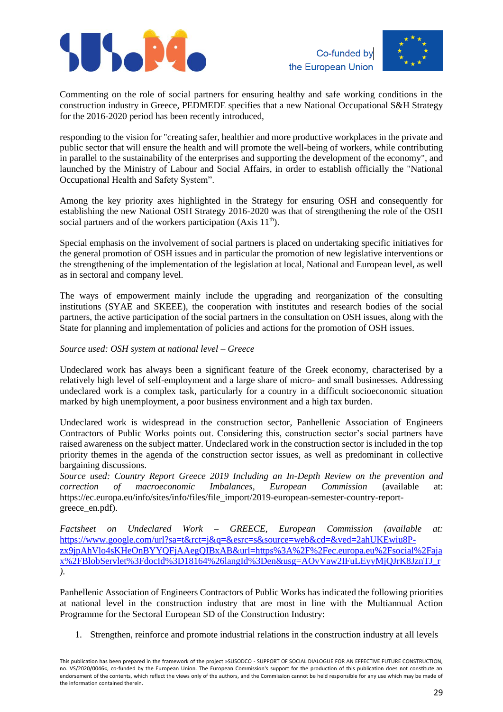



Commenting on the role of social partners for ensuring healthy and safe working conditions in the construction industry in Greece, PEDMEDE specifies that a new National Occupational S&H Strategy for the 2016-2020 period has been recently introduced,

responding to the vision for "creating safer, healthier and more productive workplaces in the private and public sector that will ensure the health and will promote the well-being of workers, while contributing in parallel to the sustainability of the enterprises and supporting the development of the economy", and launched by the Ministry of Labour and Social Affairs, in order to establish officially the "National Occupational Health and Safety System".

Among the key priority axes highlighted in the Strategy for ensuring OSH and consequently for establishing the new National OSH Strategy 2016-2020 was that of strengthening the role of the OSH social partners and of the workers participation (Axis  $11<sup>th</sup>$ ).

Special emphasis on the involvement of social partners is placed on undertaking specific initiatives for the general promotion of OSH issues and in particular the promotion of new legislative interventions or the strengthening of the implementation of the legislation at local, National and European level, as well as in sectoral and company level.

The ways of empowerment mainly include the upgrading and reorganization of the consulting institutions (SYAE and SKEEE), the cooperation with institutes and research bodies of the social partners, the active participation of the social partners in the consultation on OSH issues, along with the State for planning and implementation of policies and actions for the promotion of OSH issues.

*Source used: OSH system at national level – Greece*

Undeclared work has always been a significant feature of the Greek economy, characterised by a relatively high level of self-employment and a large share of micro- and small businesses. Addressing undeclared work is a complex task, particularly for a country in a difficult socioeconomic situation marked by high unemployment, a poor business environment and a high tax burden.

Undeclared work is widespread in the construction sector, Panhellenic Association of Engineers Contractors of Public Works points out. Considering this, construction sector's social partners have raised awareness on the subject matter. Undeclared work in the construction sector is included in the top priority themes in the agenda of the construction sector issues, as well as predominant in collective bargaining discussions.

*Source used: Country Report Greece 2019 Including an In-Depth Review on the prevention and correction of macroeconomic Imbalances, European Commission* (available at: [https://ec.europa.eu/info/sites/info/files/file\\_import/2019-european-semester-country-report](https://ec.europa.eu/info/sites/info/files/file_import/2019-european-semester-country-report-greece_en.pdf)[greece\\_en.pdf\)](https://ec.europa.eu/info/sites/info/files/file_import/2019-european-semester-country-report-greece_en.pdf).

*Factsheet on Undeclared Work – GREECE, European Commission (available at:*  [https://www.google.com/url?sa=t&rct=j&q=&esrc=s&source=web&cd=&ved=2ahUKEwiu8P](https://www.google.com/url?sa=t&rct=j&q=&esrc=s&source=web&cd=&ved=2ahUKEwiu8P-zx9jpAhVlo4sKHeOnBYYQFjAAegQIBxAB&url=https%3A%2F%2Fec.europa.eu%2Fsocial%2Fajax%2FBlobServlet%3FdocId%3D18164%26langId%3Den&usg=AOvVaw2IFuLEyyMjQJrK8JznTJ_r)[zx9jpAhVlo4sKHeOnBYYQFjAAegQIBxAB&url=https%3A%2F%2Fec.europa.eu%2Fsocial%2Faja](https://www.google.com/url?sa=t&rct=j&q=&esrc=s&source=web&cd=&ved=2ahUKEwiu8P-zx9jpAhVlo4sKHeOnBYYQFjAAegQIBxAB&url=https%3A%2F%2Fec.europa.eu%2Fsocial%2Fajax%2FBlobServlet%3FdocId%3D18164%26langId%3Den&usg=AOvVaw2IFuLEyyMjQJrK8JznTJ_r) [x%2FBlobServlet%3FdocId%3D18164%26langId%3Den&usg=AOvVaw2IFuLEyyMjQJrK8JznTJ\\_r](https://www.google.com/url?sa=t&rct=j&q=&esrc=s&source=web&cd=&ved=2ahUKEwiu8P-zx9jpAhVlo4sKHeOnBYYQFjAAegQIBxAB&url=https%3A%2F%2Fec.europa.eu%2Fsocial%2Fajax%2FBlobServlet%3FdocId%3D18164%26langId%3Den&usg=AOvVaw2IFuLEyyMjQJrK8JznTJ_r) *).*

Panhellenic Association of Engineers Contractors of Public Works has indicated the following priorities at national level in the construction industry that are most in line with the Multiannual Action Programme for the Sectoral European SD of the Construction Industry:

1. Strengthen, reinforce and promote industrial relations in the construction industry at all levels

This publication has been prepared in the framework of the project »SUSODCO - SUPPORT OF SOCIAL DIALOGUE FOR AN EFFECTIVE FUTURE CONSTRUCTION, no. VS/2020/0046«, co-funded by the European Union. The European Commission's support for the production of this publication does not constitute an endorsement of the contents, which reflect the views only of the authors, and the Commission cannot be held responsible for any use which may be made of the information contained therein.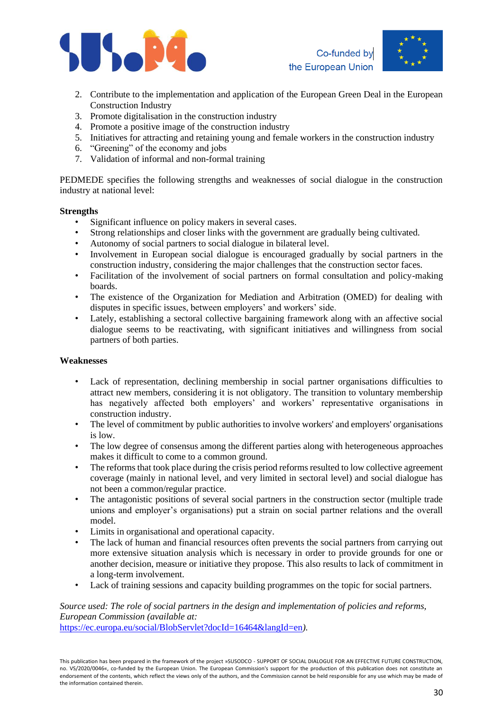





- 2. Contribute to the implementation and application of the European Green Deal in the European Construction Industry
- 3. Promote digitalisation in the construction industry
- 4. Promote a positive image of the construction industry
- 5. Initiatives for attracting and retaining young and female workers in the construction industry
- 6. "Greening" of the economy and jobs
- 7. Validation of informal and non-formal training

PEDMEDE specifies the following strengths and weaknesses of social dialogue in the construction industry at national level:

#### **Strengths**

- Significant influence on policy makers in several cases.
- Strong relationships and closer links with the government are gradually being cultivated.
- Autonomy of social partners to social dialogue in bilateral level.
- Involvement in European social dialogue is encouraged gradually by social partners in the construction industry, considering the major challenges that the construction sector faces.
- Facilitation of the involvement of social partners on formal consultation and policy-making boards.
- The existence of the Organization for Mediation and Arbitration (OMED) for dealing with disputes in specific issues, between employers' and workers' side.
- Lately, establishing a sectoral collective bargaining framework along with an affective social dialogue seems to be reactivating, with significant initiatives and willingness from social partners of both parties.

#### **Weaknesses**

- Lack of representation, declining membership in social partner organisations difficulties to attract new members, considering it is not obligatory. The transition to voluntary membership has negatively affected both employers' and workers' representative organisations in construction industry.
- The level of commitment by public authorities to involve workers' and employers' organisations is low.
- The low degree of consensus among the different parties along with heterogeneous approaches makes it difficult to come to a common ground.
- The reforms that took place during the crisis period reforms resulted to low collective agreement coverage (mainly in national level, and very limited in sectoral level) and social dialogue has not been a common/regular practice.
- The antagonistic positions of several social partners in the construction sector (multiple trade unions and employer's organisations) put a strain on social partner relations and the overall model.
- Limits in organisational and operational capacity.
- The lack of human and financial resources often prevents the social partners from carrying out more extensive situation analysis which is necessary in order to provide grounds for one or another decision, measure or initiative they propose. This also results to lack of commitment in a long-term involvement.
- Lack of training sessions and capacity building programmes on the topic for social partners.

### *Source used: The role of social partners in the design and implementation of policies and reforms, European Commission (available at:*

<https://ec.europa.eu/social/BlobServlet?docId=16464&langId=en>*).*

This publication has been prepared in the framework of the project »SUSODCO - SUPPORT OF SOCIAL DIALOGUE FOR AN EFFECTIVE FUTURE CONSTRUCTION, no. VS/2020/0046«, co-funded by the European Union. The European Commission's support for the production of this publication does not constitute an endorsement of the contents, which reflect the views only of the authors, and the Commission cannot be held responsible for any use which may be made of the information contained therein.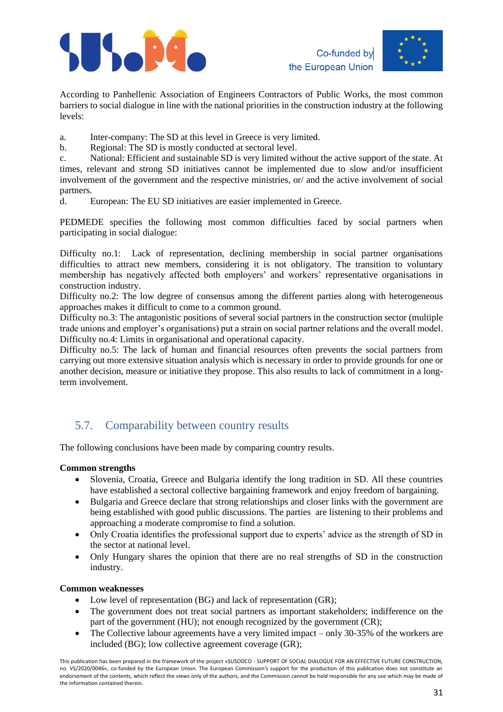





According to Panhellenic Association of Engineers Contractors of Public Works, the most common barriers to social dialogue in line with the national priorities in the construction industry at the following levels:

a. Inter-company: The SD at this level in Greece is very limited.

b. Regional: The SD is mostly conducted at sectoral level.

c. National: Efficient and sustainable SD is very limited without the active support of the state. At times, relevant and strong SD initiatives cannot be implemented due to slow and/or insufficient involvement of the government and the respective ministries, or/ and the active involvement of social partners.

d. European: The EU SD initiatives are easier implemented in Greece.

PEDMEDE specifies the following most common difficulties faced by social partners when participating in social dialogue:

Difficulty no.1: Lack of representation, declining membership in social partner organisations difficulties to attract new members, considering it is not obligatory. The transition to voluntary membership has negatively affected both employers' and workers' representative organisations in construction industry.

Difficulty no.2: The low degree of consensus among the different parties along with heterogeneous approaches makes it difficult to come to a common ground.

Difficulty no.3: The antagonistic positions of several social partners in the construction sector (multiple trade unions and employer's organisations) put a strain on social partner relations and the overall model. Difficulty no.4: Limits in organisational and operational capacity.

Difficulty no.5: The lack of human and financial resources often prevents the social partners from carrying out more extensive situation analysis which is necessary in order to provide grounds for one or another decision, measure or initiative they propose. This also results to lack of commitment in a longterm involvement.

# <span id="page-30-0"></span>5.7. Comparability between country results

The following conclusions have been made by comparing country results.

#### **Common strengths**

- Slovenia, Croatia, Greece and Bulgaria identify the long tradition in SD. All these countries have established a sectoral collective bargaining framework and enjoy freedom of bargaining.
- Bulgaria and Greece declare that strong relationships and closer links with the government are being established with good public discussions. The parties are listening to their problems and approaching a moderate compromise to find a solution.
- Only Croatia identifies the professional support due to experts' advice as the strength of SD in the sector at national level.
- Only Hungary shares the opinion that there are no real strengths of SD in the construction industry.

#### **Common weaknesses**

- Low level of representation (BG) and lack of representation (GR);
- The government does not treat social partners as important stakeholders; indifference on the part of the government (HU); not enough recognized by the government (CR);
- The Collective labour agreements have a very limited impact  $-$  only 30-35% of the workers are included (BG); low collective agreement coverage (GR);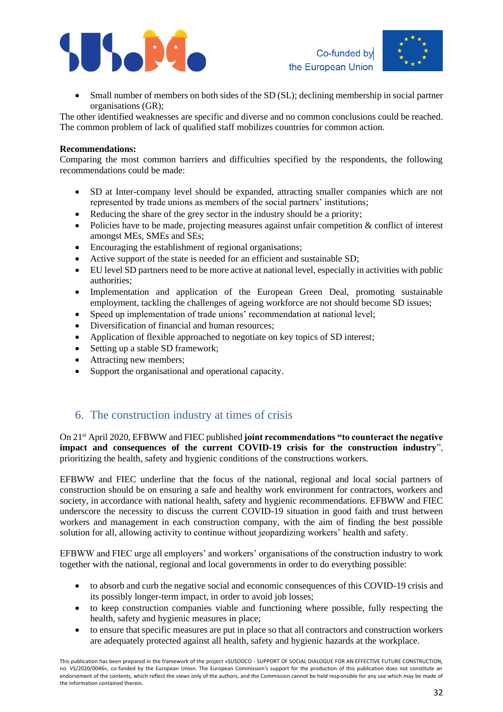



• Small number of members on both sides of the SD (SL); declining membership in social partner organisations (GR);

The other identified weaknesses are specific and diverse and no common conclusions could be reached. The common problem of lack of qualified staff mobilizes countries for common action.

#### **Recommendations:**

Comparing the most common barriers and difficulties specified by the respondents, the following recommendations could be made:

- SD at Inter-company level should be expanded, attracting smaller companies which are not represented by trade unions as members of the social partners' institutions;
- Reducing the share of the grey sector in the industry should be a priority;
- Policies have to be made, projecting measures against unfair competition  $\&$  conflict of interest amongst MEs, SMEs and SEs;
- Encouraging the establishment of regional organisations;
- Active support of the state is needed for an efficient and sustainable SD;
- EU level SD partners need to be more active at national level, especially in activities with public authorities;
- Implementation and application of the European Green Deal, promoting sustainable employment, tackling the challenges of ageing workforce are not should become SD issues;
- Speed up implementation of trade unions' recommendation at national level:
- Diversification of financial and human resources:
- Application of flexible approached to negotiate on key topics of SD interest;
- Setting up a stable SD framework;
- Attracting new members;
- Support the organisational and operational capacity.

### <span id="page-31-0"></span>6. The construction industry at times of crisis

On 21st April 2020, EFBWW and FIEC published **joint recommendations "to counteract the negative impact and consequences of the current COVID-19 crisis for the construction industry**", prioritizing the health, safety and hygienic conditions of the constructions workers.

EFBWW and FIEC underline that the focus of the national, regional and local social partners of construction should be on ensuring a safe and healthy work environment for contractors, workers and society, in accordance with national health, safety and hygienic recommendations. EFBWW and FIEC underscore the necessity to discuss the current COVID-19 situation in good faith and trust between workers and management in each construction company, with the aim of finding the best possible solution for all, allowing activity to continue without jeopardizing workers' health and safety.

EFBWW and FIEC urge all employers' and workers' organisations of the construction industry to work together with the national, regional and local governments in order to do everything possible:

- to absorb and curb the negative social and economic consequences of this COVID-19 crisis and its possibly longer-term impact, in order to avoid job losses;
- to keep construction companies viable and functioning where possible, fully respecting the health, safety and hygienic measures in place;
- to ensure that specific measures are put in place so that all contractors and construction workers are adequately protected against all health, safety and hygienic hazards at the workplace.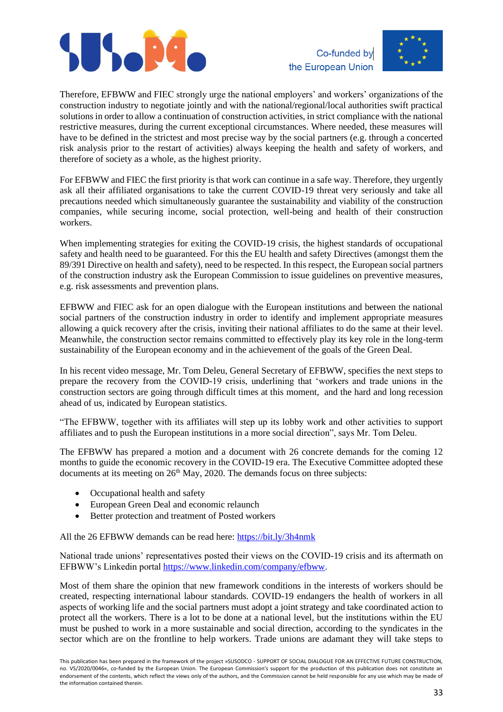





Therefore, EFBWW and FIEC strongly urge the national employers' and workers' organizations of the construction industry to negotiate jointly and with the national/regional/local authorities swift practical solutions in order to allow a continuation of construction activities, in strict compliance with the national restrictive measures, during the current exceptional circumstances. Where needed, these measures will have to be defined in the strictest and most precise way by the social partners (e.g. through a concerted risk analysis prior to the restart of activities) always keeping the health and safety of workers, and therefore of society as a whole, as the highest priority.

For EFBWW and FIEC the first priority is that work can continue in a safe way. Therefore, they urgently ask all their affiliated organisations to take the current COVID-19 threat very seriously and take all precautions needed which simultaneously guarantee the sustainability and viability of the construction companies, while securing income, social protection, well-being and health of their construction workers.

When implementing strategies for exiting the COVID-19 crisis, the highest standards of occupational safety and health need to be guaranteed. For this the EU health and safety Directives (amongst them the 89/391 Directive on health and safety), need to be respected. In this respect, the European social partners of the construction industry ask the European Commission to issue guidelines on preventive measures, e.g. risk assessments and prevention plans.

EFBWW and FIEC ask for an open dialogue with the European institutions and between the national social partners of the construction industry in order to identify and implement appropriate measures allowing a quick recovery after the crisis, inviting their national affiliates to do the same at their level. Meanwhile, the construction sector remains committed to effectively play its key role in the long-term sustainability of the European economy and in the achievement of the goals of the Green Deal.

In his recent video message, Mr. Tom Deleu, General Secretary of EFBWW, specifies the next steps to prepare the recovery from the COVID-19 crisis, underlining that 'workers and trade unions in the construction sectors are going through difficult times at this moment, and the hard and long recession ahead of us, indicated by European statistics.

"The EFBWW, together with its affiliates will step up its lobby work and other activities to support affiliates and to push the European institutions in a more social direction", says Mr. Tom Deleu.

The EFBWW has prepared a motion and a document with 26 concrete demands for the coming 12 months to guide the economic recovery in the COVID-19 era. The Executive Committee adopted these documents at its meeting on  $26<sup>th</sup>$  May, 2020. The demands focus on three subjects:

- Occupational health and safety
- European Green Deal and economic relaunch
- Better protection and treatment of Posted workers

All the 26 EFBWW demands can be read here:<https://bit.ly/3h4nmk>

National trade unions' representatives posted their views on the COVID-19 crisis and its aftermath on EFBWW's Linkedin portal [https://www.linkedin.com/company/efbww.](https://www.linkedin.com/company/efbww)

Most of them share the opinion that new framework conditions in the interests of workers should be created, respecting international labour standards. COVID-19 endangers the health of workers in all aspects of working life and the social partners must adopt a joint strategy and take coordinated action to protect all the workers. There is a lot to be done at a national level, but the institutions within the EU must be pushed to work in a more sustainable and social direction, according to the syndicates in the sector which are on the frontline to help workers. Trade unions are adamant they will take steps to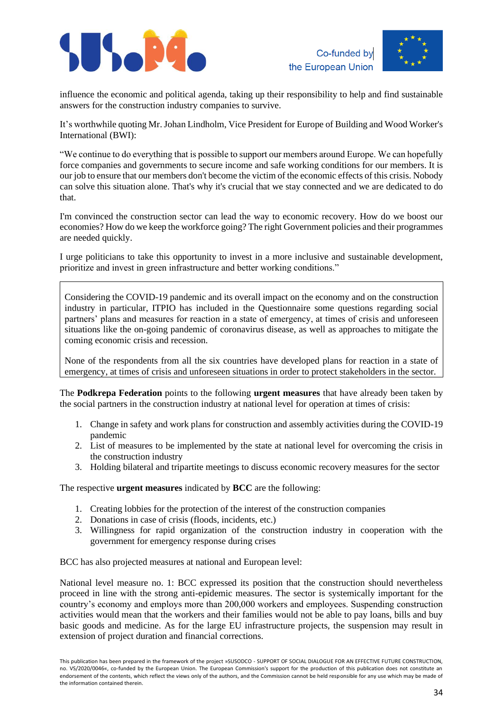





influence the economic and political agenda, taking up their responsibility to help and find sustainable answers for the construction industry companies to survive.

It's worthwhile quoting Mr. Johan Lindholm, Vice President for Europe of Building and Wood Worker's International (BWI):

"We continue to do everything that is possible to support our members around Europe. We can hopefully force companies and governments to secure income and safe working conditions for our members. It is our job to ensure that our members don't become the victim of the economic effects of this crisis. Nobody can solve this situation alone. That's why it's crucial that we stay connected and we are dedicated to do that.

I'm convinced the construction sector can lead the way to economic recovery. How do we boost our economies? How do we keep the workforce going? The right Government policies and their programmes are needed quickly.

I urge politicians to take this opportunity to invest in a more inclusive and sustainable development, prioritize and invest in green infrastructure and better working conditions."

Considering the COVID-19 pandemic and its overall impact on the economy and on the construction industry in particular, ITPIO has included in the Questionnaire some questions regarding social partners' plans and measures for reaction in a state of emergency, at times of crisis and unforeseen situations like the on-going pandemic of coronavirus disease, as well as approaches to mitigate the coming economic crisis and recession.

None of the respondents from all the six countries have developed plans for reaction in a state of emergency, at times of crisis and unforeseen situations in order to protect stakeholders in the sector.

The **Podkrepa Federation** points to the following **urgent measures** that have already been taken by the social partners in the construction industry at national level for operation at times of crisis:

- 1. Change in safety and work plans for construction and assembly activities during the COVID-19 pandemic
- 2. List of measures to be implemented by the state at national level for overcoming the crisis in the construction industry
- 3. Holding bilateral and tripartite meetings to discuss economic recovery measures for the sector

The respective **urgent measures** indicated by **BCC** are the following:

- 1. Creating lobbies for the protection of the interest of the construction companies
- 2. Donations in case of crisis (floods, incidents, etc.)
- 3. Willingness for rapid organization of the construction industry in cooperation with the government for emergency response during crises

BCC has also projected measures at national and European level:

National level measure no. 1: BCC expressed its position that the construction should nevertheless proceed in line with the strong anti-epidemic measures. The sector is systemically important for the country's economy and employs more than 200,000 workers and employees. Suspending construction activities would mean that the workers and their families would not be able to pay loans, bills and buy basic goods and medicine. As for the large EU infrastructure projects, the suspension may result in extension of project duration and financial corrections.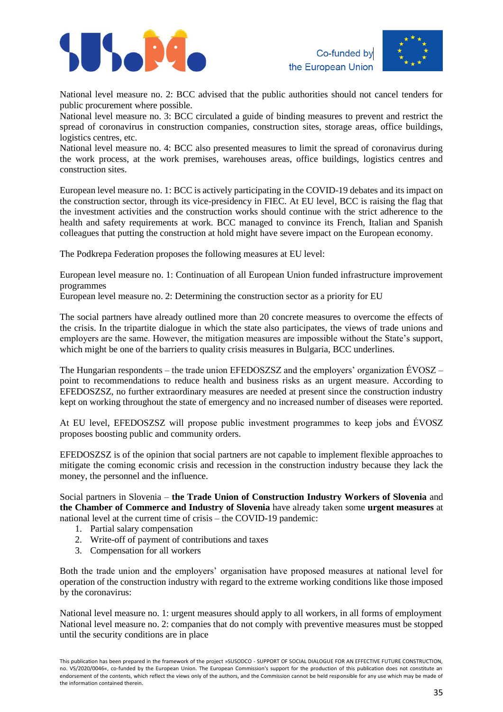





National level measure no. 2: BCC advised that the public authorities should not cancel tenders for public procurement where possible.

National level measure no. 3: BCC circulated a guide of binding measures to prevent and restrict the spread of coronavirus in construction companies, construction sites, storage areas, office buildings, logistics centres, etc.

National level measure no. 4: BCC also presented measures to limit the spread of coronavirus during the work process, at the work premises, warehouses areas, office buildings, logistics centres and construction sites.

European level measure no. 1: BCC is actively participating in the COVID-19 debates and its impact on the construction sector, through its vice-presidency in FIEC. At EU level, BCC is raising the flag that the investment activities and the construction works should continue with the strict adherence to the health and safety requirements at work. BCC managed to convince its French, Italian and Spanish colleagues that putting the construction at hold might have severe impact on the European economy.

The Podkrepa Federation proposes the following measures at EU level:

European level measure no. 1: Continuation of all European Union funded infrastructure improvement programmes

European level measure no. 2: Determining the construction sector as a priority for EU

The social partners have already outlined more than 20 concrete measures to overcome the effects of the crisis. In the tripartite dialogue in which the state also participates, the views of trade unions and employers are the same. However, the mitigation measures are impossible without the State's support, which might be one of the barriers to quality crisis measures in Bulgaria, BCC underlines.

The Hungarian respondents – the trade union EFEDOSZSZ and the employers' organization  $EVOSZ$ point to recommendations to reduce health and business risks as an urgent measure. According to EFEDOSZSZ, no further extraordinary measures are needed at present since the construction industry kept on working throughout the state of emergency and no increased number of diseases were reported.

At EU level, EFEDOSZSZ will propose public investment programmes to keep jobs and ÉVOSZ proposes boosting public and community orders.

EFEDOSZSZ is of the opinion that social partners are not capable to implement flexible approaches to mitigate the coming economic crisis and recession in the construction industry because they lack the money, the personnel and the influence.

Social partners in Slovenia – **the Trade Union of Construction Industry Workers of Slovenia** and **the Chamber of Commerce and Industry of Slovenia** have already taken some **urgent measures** at national level at the current time of crisis – the COVID-19 pandemic:

- 1. Partial salary compensation
- 2. Write-off of payment of contributions and taxes
- 3. Compensation for all workers

Both the trade union and the employers' organisation have proposed measures at national level for operation of the construction industry with regard to the extreme working conditions like those imposed by the coronavirus:

National level measure no. 1: urgent measures should apply to all workers, in all forms of employment National level measure no. 2: companies that do not comply with preventive measures must be stopped until the security conditions are in place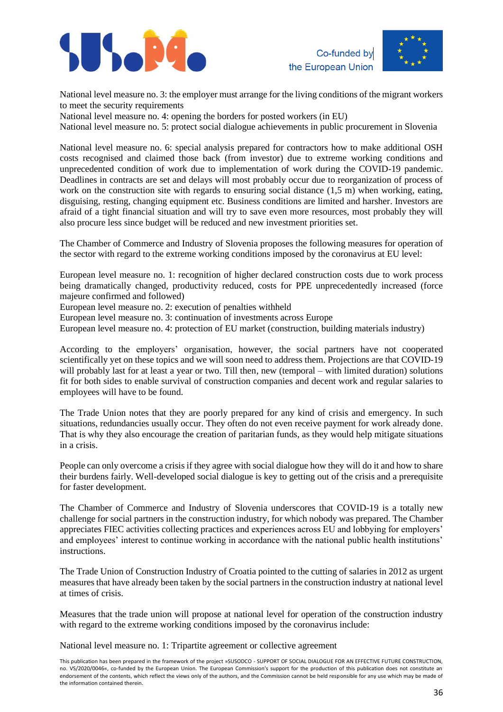





National level measure no. 3: the employer must arrange for the living conditions of the migrant workers to meet the security requirements

National level measure no. 4: opening the borders for posted workers (in EU)

National level measure no. 5: protect social dialogue achievements in public procurement in Slovenia

National level measure no. 6: special analysis prepared for contractors how to make additional OSH costs recognised and claimed those back (from investor) due to extreme working conditions and unprecedented condition of work due to implementation of work during the COVID-19 pandemic. Deadlines in contracts are set and delays will most probably occur due to reorganization of process of work on the construction site with regards to ensuring social distance (1.5 m) when working, eating, disguising, resting, changing equipment etc. Business conditions are limited and harsher. Investors are afraid of a tight financial situation and will try to save even more resources, most probably they will also procure less since budget will be reduced and new investment priorities set.

The Chamber of Commerce and Industry of Slovenia proposes the following measures for operation of the sector with regard to the extreme working conditions imposed by the coronavirus at EU level:

European level measure no. 1: recognition of higher declared construction costs due to work process being dramatically changed, productivity reduced, costs for PPE unprecedentedly increased (force majeure confirmed and followed)

European level measure no. 2: execution of penalties withheld

European level measure no. 3: continuation of investments across Europe

European level measure no. 4: protection of EU market (construction, building materials industry)

According to the employers' organisation, however, the social partners have not cooperated scientifically yet on these topics and we will soon need to address them. Projections are that COVID-19 will probably last for at least a year or two. Till then, new (temporal – with limited duration) solutions fit for both sides to enable survival of construction companies and decent work and regular salaries to employees will have to be found.

The Trade Union notes that they are poorly prepared for any kind of crisis and emergency. In such situations, redundancies usually occur. They often do not even receive payment for work already done. That is why they also encourage the creation of paritarian funds, as they would help mitigate situations in a crisis.

People can only overcome a crisis if they agree with social dialogue how they will do it and how to share their burdens fairly. Well-developed social dialogue is key to getting out of the crisis and a prerequisite for faster development.

The Chamber of Commerce and Industry of Slovenia underscores that COVID-19 is a totally new challenge for social partners in the construction industry, for which nobody was prepared. The Chamber appreciates FIEC activities collecting practices and experiences across EU and lobbying for employers' and employees' interest to continue working in accordance with the national public health institutions' instructions.

The Trade Union of Construction Industry of Croatia pointed to the cutting of salaries in 2012 as urgent measures that have already been taken by the social partners in the construction industry at national level at times of crisis.

Measures that the trade union will propose at national level for operation of the construction industry with regard to the extreme working conditions imposed by the coronavirus include:

National level measure no. 1: Tripartite agreement or collective agreement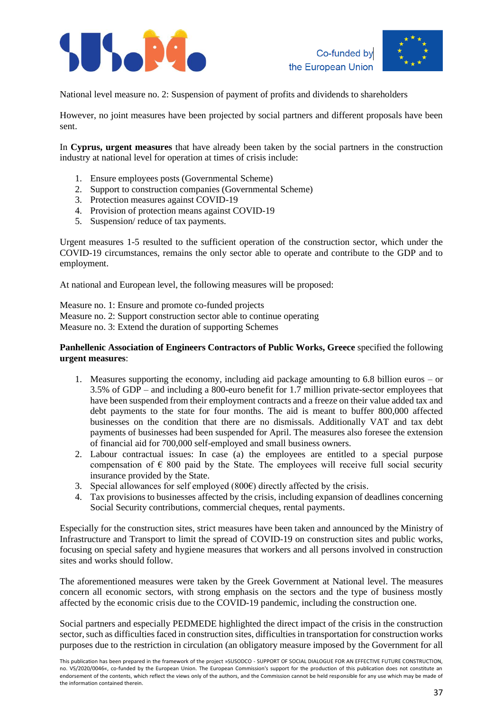



National level measure no. 2: Suspension of payment of profits and dividends to shareholders

However, no joint measures have been projected by social partners and different proposals have been sent.

In **Cyprus, urgent measures** that have already been taken by the social partners in the construction industry at national level for operation at times of crisis include:

- 1. Ensure employees posts (Governmental Scheme)
- 2. Support to construction companies (Governmental Scheme)
- 3. Protection measures against COVID-19
- 4. Provision of protection means against COVID-19
- 5. Suspension/ reduce of tax payments.

Urgent measures 1-5 resulted to the sufficient operation of the construction sector, which under the COVID-19 circumstances, remains the only sector able to operate and contribute to the GDP and to employment.

At national and European level, the following measures will be proposed:

Measure no. 1: Ensure and promote co-funded projects Measure no. 2: Support construction sector able to continue operating Measure no. 3: Extend the duration of supporting Schemes

#### **Panhellenic Association of Engineers Contractors of Public Works, Greece** specified the following **urgent measures**:

- 1. Measures supporting the economy, including aid package amounting to 6.8 billion euros or 3.5% of GDP – and including a 800-euro benefit for 1.7 million private-sector employees that have been suspended from their employment contracts and a freeze on their value added tax and debt payments to the state for four months. The aid is meant to buffer 800,000 affected businesses on the condition that there are no dismissals. Additionally VAT and tax debt payments of businesses had been suspended for April. The measures also foresee the extension of financial aid for 700,000 self-employed and small business owners.
- 2. Labour contractual issues: In case (a) the employees are entitled to a special purpose compensation of  $\epsilon$  800 paid by the State. The employees will receive full social security insurance provided by the State.
- 3. Special allowances for self employed  $(800\epsilon)$  directly affected by the crisis.
- 4. Tax provisions to businesses affected by the crisis, including expansion of deadlines concerning Social Security contributions, commercial cheques, rental payments.

Especially for the construction sites, strict measures have been taken and announced by the Ministry of Infrastructure and Transport to limit the spread of COVID-19 on construction sites and public works, focusing on special safety and hygiene measures that workers and all persons involved in construction sites and works should follow.

The aforementioned measures were taken by the Greek Government at National level. The measures concern all economic sectors, with strong emphasis on the sectors and the type of business mostly affected by the economic crisis due to the COVID-19 pandemic, including the construction one.

Social partners and especially PEDMEDE highlighted the direct impact of the crisis in the construction sector, such as difficulties faced in construction sites, difficulties in transportation for construction works purposes due to the restriction in circulation (an obligatory measure imposed by the Government for all

This publication has been prepared in the framework of the project »SUSODCO - SUPPORT OF SOCIAL DIALOGUE FOR AN EFFECTIVE FUTURE CONSTRUCTION, no. VS/2020/0046«, co-funded by the European Union. The European Commission's support for the production of this publication does not constitute an endorsement of the contents, which reflect the views only of the authors, and the Commission cannot be held responsible for any use which may be made of the information contained therein.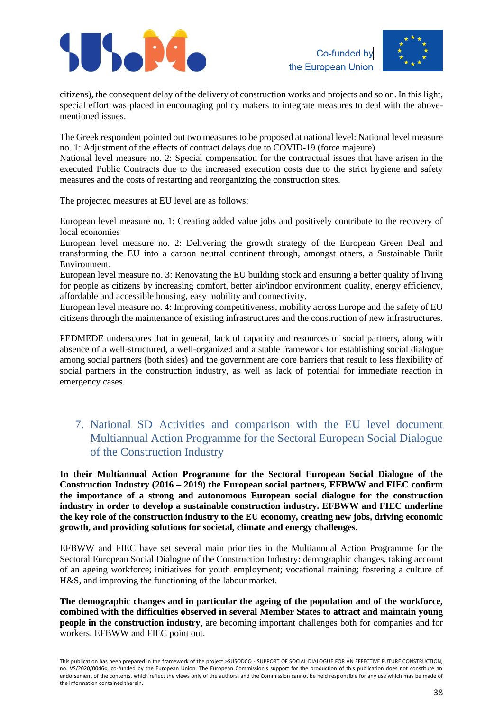



citizens), the consequent delay of the delivery of construction works and projects and so on. In this light, special effort was placed in encouraging policy makers to integrate measures to deal with the abovementioned issues.

The Greek respondent pointed out two measures to be proposed at national level: National level measure no. 1: Adjustment of the effects of contract delays due to COVID-19 (force majeure)

National level measure no. 2: Special compensation for the contractual issues that have arisen in the executed Public Contracts due to the increased execution costs due to the strict hygiene and safety measures and the costs of restarting and reorganizing the construction sites.

The projected measures at EU level are as follows:

European level measure no. 1: Creating added value jobs and positively contribute to the recovery of local economies

European level measure no. 2: Delivering the growth strategy of the European Green Deal and transforming the EU into a carbon neutral continent through, amongst others, a Sustainable Built Environment.

European level measure no. 3: Renovating the EU building stock and ensuring a better quality of living for people as citizens by increasing comfort, better air/indoor environment quality, energy efficiency, affordable and accessible housing, easy mobility and connectivity.

European level measure no. 4: Improving competitiveness, mobility across Europe and the safety of EU citizens through the maintenance of existing infrastructures and the construction of new infrastructures.

PEDMEDE underscores that in general, lack of capacity and resources of social partners, along with absence of a well-structured, a well-organized and a stable framework for establishing social dialogue among social partners (both sides) and the government are core barriers that result to less flexibility of social partners in the construction industry, as well as lack of potential for immediate reaction in emergency cases.

# <span id="page-37-0"></span>7. National SD Activities and comparison with the EU level document Multiannual Action Programme for the Sectoral European Social Dialogue of the Construction Industry

**In their Multiannual Action Programme for the Sectoral European Social Dialogue of the Construction Industry (2016 – 2019) the European social partners, EFBWW and FIEC confirm the importance of a strong and autonomous European social dialogue for the construction industry in order to develop a sustainable construction industry. EFBWW and FIEC underline the key role of the construction industry to the EU economy, creating new jobs, driving economic growth, and providing solutions for societal, climate and energy challenges.**

EFBWW and FIEC have set several main priorities in the Multiannual Action Programme for the Sectoral European Social Dialogue of the Construction Industry: demographic changes, taking account of an ageing workforce; initiatives for youth employment; vocational training; fostering a culture of H&S, and improving the functioning of the labour market.

**The demographic changes and in particular the ageing of the population and of the workforce, combined with the difficulties observed in several Member States to attract and maintain young people in the construction industry**, are becoming important challenges both for companies and for workers, EFBWW and FIEC point out.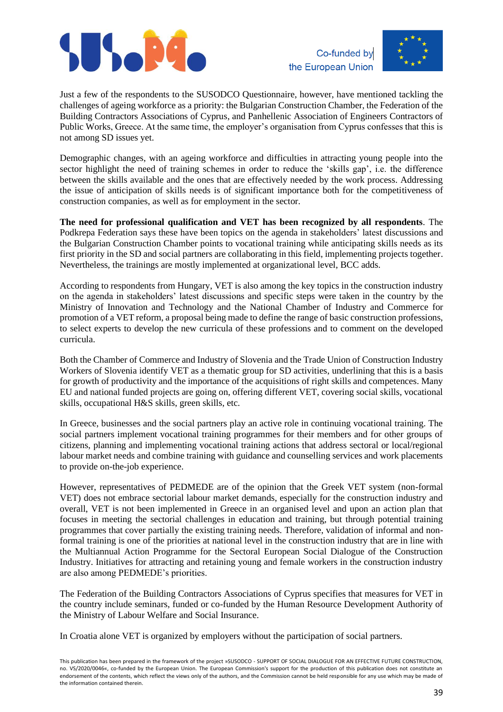



Just a few of the respondents to the SUSODCO Questionnaire, however, have mentioned tackling the challenges of ageing workforce as a priority: the Bulgarian Construction Chamber, the Federation of the Building Contractors Associations of Cyprus, and Panhellenic Association of Engineers Contractors of Public Works, Greece. At the same time, the employer's organisation from Cyprus confesses that this is not among SD issues yet.

Demographic changes, with an ageing workforce and difficulties in attracting young people into the sector highlight the need of training schemes in order to reduce the 'skills gap', i.e. the difference between the skills available and the ones that are effectively needed by the work process. Addressing the issue of anticipation of skills needs is of significant importance both for the competitiveness of construction companies, as well as for employment in the sector.

**The need for professional qualification and VET has been recognized by all respondents**. The Podkrepa Federation says these have been topics on the agenda in stakeholders' latest discussions and the Bulgarian Construction Chamber points to vocational training while anticipating skills needs as its first priority in the SD and social partners are collaborating in this field, implementing projects together. Nevertheless, the trainings are mostly implemented at organizational level, BCC adds.

According to respondents from Hungary, VET is also among the key topics in the construction industry on the agenda in stakeholders' latest discussions and specific steps were taken in the country by the Ministry of Innovation and Technology and the National Chamber of Industry and Commerce for promotion of a VET reform, a proposal being made to define the range of basic construction professions, to select experts to develop the new curricula of these professions and to comment on the developed curricula.

Both the Chamber of Commerce and Industry of Slovenia and the Trade Union of Construction Industry Workers of Slovenia identify VET as a thematic group for SD activities, underlining that this is a basis for growth of productivity and the importance of the acquisitions of right skills and competences. Many EU and national funded projects are going on, offering different VET, covering social skills, vocational skills, occupational H&S skills, green skills, etc.

In Greece, businesses and the social partners play an active role in continuing vocational training. The social partners implement vocational training programmes for their members and for other groups of citizens, planning and implementing vocational training actions that address sectoral or local/regional labour market needs and combine training with guidance and counselling services and work placements to provide on-the-job experience.

However, representatives of PEDMEDE are of the opinion that the Greek VET system (non-formal VET) does not embrace sectorial labour market demands, especially for the construction industry and overall, VET is not been implemented in Greece in an organised level and upon an action plan that focuses in meeting the sectorial challenges in education and training, but through potential training programmes that cover partially the existing training needs. Therefore, validation of informal and nonformal training is one of the priorities at national level in the construction industry that are in line with the Multiannual Action Programme for the Sectoral European Social Dialogue of the Construction Industry. Initiatives for attracting and retaining young and female workers in the construction industry are also among PEDMEDE's priorities.

The Federation of the Building Contractors Associations of Cyprus specifies that measures for VET in the country include seminars, funded or co-funded by the Human Resource Development Authority of the Ministry of Labour Welfare and Social Insurance.

In Croatia alone VET is organized by employers without the participation of social partners.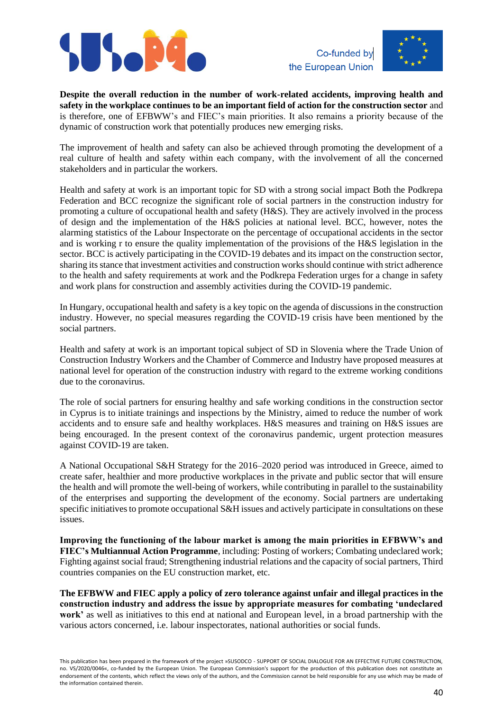





**Despite the overall reduction in the number of work-related accidents, improving health and safety in the workplace continues to be an important field of action for the construction sector** and is therefore, one of EFBWW's and FIEC's main priorities. It also remains a priority because of the dynamic of construction work that potentially produces new emerging risks.

The improvement of health and safety can also be achieved through promoting the development of a real culture of health and safety within each company, with the involvement of all the concerned stakeholders and in particular the workers.

Health and safety at work is an important topic for SD with a strong social impact Both the Podkrepa Federation and BCC recognize the significant role of social partners in the construction industry for promoting a culture of occupational health and safety (H&S). They are actively involved in the process of design and the implementation of the H&S policies at national level. BCC, however, notes the alarming statistics of the Labour Inspectorate on the percentage of occupational accidents in the sector and is working r to ensure the quality implementation of the provisions of the H&S legislation in the sector. BCC is actively participating in the COVID-19 debates and its impact on the construction sector, sharing its stance that investment activities and construction works should continue with strict adherence to the health and safety requirements at work and the Podkrepa Federation urges for a change in safety and work plans for construction and assembly activities during the COVID-19 pandemic.

In Hungary, occupational health and safety is a key topic on the agenda of discussions in the construction industry. However, no special measures regarding the COVID-19 crisis have been mentioned by the social partners.

Health and safety at work is an important topical subject of SD in Slovenia where the Trade Union of Construction Industry Workers and the Chamber of Commerce and Industry have proposed measures at national level for operation of the construction industry with regard to the extreme working conditions due to the coronavirus.

The role of social partners for ensuring healthy and safe working conditions in the construction sector in Cyprus is to initiate trainings and inspections by the Ministry, aimed to reduce the number of work accidents and to ensure safe and healthy workplaces. H&S measures and training on H&S issues are being encouraged. In the present context of the coronavirus pandemic, urgent protection measures against COVID-19 are taken.

A National Occupational S&H Strategy for the 2016–2020 period was introduced in Greece, aimed to create safer, healthier and more productive workplaces in the private and public sector that will ensure the health and will promote the well-being of workers, while contributing in parallel to the sustainability of the enterprises and supporting the development of the economy. Social partners are undertaking specific initiatives to promote occupational S&H issues and actively participate in consultations on these issues.

**Improving the functioning of the labour market is among the main priorities in EFBWW's and FIEC's Multiannual Action Programme**, including: Posting of workers; Combating undeclared work; Fighting against social fraud; Strengthening industrial relations and the capacity of social partners, Third countries companies on the EU construction market, etc.

**The EFBWW and FIEC apply a policy of zero tolerance against unfair and illegal practices in the construction industry and address the issue by appropriate measures for combating 'undeclared work'** as well as initiatives to this end at national and European level, in a broad partnership with the various actors concerned, i.e. labour inspectorates, national authorities or social funds.

This publication has been prepared in the framework of the project »SUSODCO - SUPPORT OF SOCIAL DIALOGUE FOR AN EFFECTIVE FUTURE CONSTRUCTION, no. VS/2020/0046«, co-funded by the European Union. The European Commission's support for the production of this publication does not constitute an endorsement of the contents, which reflect the views only of the authors, and the Commission cannot be held responsible for any use which may be made of the information contained therein.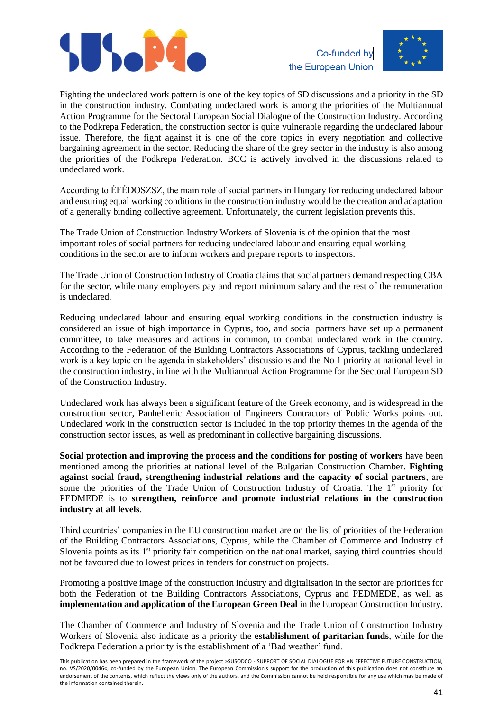





Fighting the undeclared work pattern is one of the key topics of SD discussions and a priority in the SD in the construction industry. Combating undeclared work is among the priorities of the Multiannual Action Programme for the Sectoral European Social Dialogue of the Construction Industry. According to the Podkrepa Federation, the construction sector is quite vulnerable regarding the undeclared labour issue. Therefore, the fight against it is one of the core topics in every negotiation and collective bargaining agreement in the sector. Reducing the share of the grey sector in the industry is also among the priorities of the Podkrepa Federation. BCC is actively involved in the discussions related to undeclared work.

According to ÉFÉDOSZSZ, the main role of social partners in Hungary for reducing undeclared labour and ensuring equal working conditions in the construction industry would be the creation and adaptation of a generally binding collective agreement. Unfortunately, the current legislation prevents this.

The Trade Union of Construction Industry Workers of Slovenia is of the opinion that the most important roles of social partners for reducing undeclared labour and ensuring equal working conditions in the sector are to inform workers and prepare reports to inspectors.

The Trade Union of Construction Industry of Croatia claims that social partners demand respecting CBA for the sector, while many employers pay and report minimum salary and the rest of the remuneration is undeclared.

Reducing undeclared labour and ensuring equal working conditions in the construction industry is considered an issue of high importance in Cyprus, too, and social partners have set up a permanent committee, to take measures and actions in common, to combat undeclared work in the country. According to the Federation of the Building Contractors Associations of Cyprus, tackling undeclared work is a key topic on the agenda in stakeholders' discussions and the No 1 priority at national level in the construction industry, in line with the Multiannual Action Programme for the Sectoral European SD of the Construction Industry.

Undeclared work has always been a significant feature of the Greek economy, and is widespread in the construction sector, Panhellenic Association of Engineers Contractors of Public Works points out. Undeclared work in the construction sector is included in the top priority themes in the agenda of the construction sector issues, as well as predominant in collective bargaining discussions.

**Social protection and improving the process and the conditions for posting of workers** have been mentioned among the priorities at national level of the Bulgarian Construction Chamber. **Fighting against social fraud, strengthening industrial relations and the capacity of social partners**, are some the priorities of the Trade Union of Construction Industry of Croatia. The 1<sup>st</sup> priority for PEDMEDE is to **strengthen, reinforce and promote industrial relations in the construction industry at all levels**.

Third countries' companies in the EU construction market are on the list of priorities of the Federation of the Building Contractors Associations, Cyprus, while the Chamber of Commerce and Industry of Slovenia points as its  $1<sup>st</sup>$  priority fair competition on the national market, saying third countries should not be favoured due to lowest prices in tenders for construction projects.

Promoting a positive image of the construction industry and digitalisation in the sector are priorities for both the Federation of the Building Contractors Associations, Cyprus and PEDMEDE, as well as **implementation and application of the European Green Deal** in the European Construction Industry.

The Chamber of Commerce and Industry of Slovenia and the Trade Union of Construction Industry Workers of Slovenia also indicate as a priority the **establishment of paritarian funds**, while for the Podkrepa Federation a priority is the establishment of a 'Bad weather' fund.